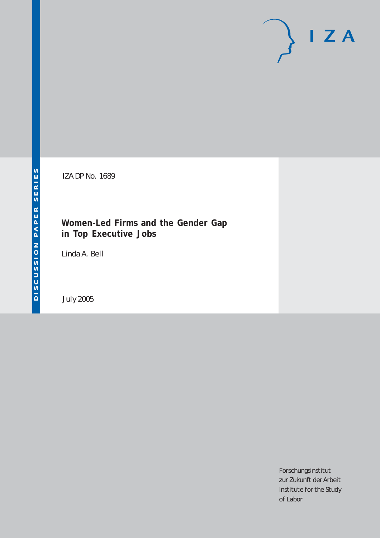# $I Z A$

IZA DP No. 1689

## **Women-Led Firms and the Gender Gap in Top Executive Jobs**

Linda A. Bell

July 2005

Forschungsinstitut zur Zukunft der Arbeit Institute for the Study of Labor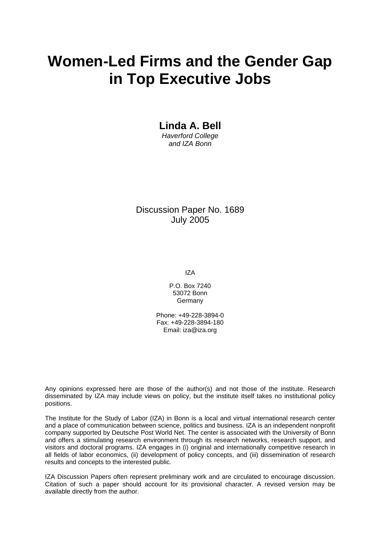## **Women-Led Firms and the Gender Gap in Top Executive Jobs**

**Linda A. Bell**  *Haverford College and IZA Bonn* 

Discussion Paper No. 1689 July 2005

IZA

P.O. Box 7240 53072 Bonn Germany

Phone: +49-228-3894-0 Fax: +49-228-3894-180 Email: [iza@iza.org](mailto:iza@iza.org)

Any opinions expressed here are those of the author(s) and not those of the institute. Research disseminated by IZA may include views on policy, but the institute itself takes no institutional policy positions.

The Institute for the Study of Labor (IZA) in Bonn is a local and virtual international research center and a place of communication between science, politics and business. IZA is an independent nonprofit company supported by Deutsche Post World Net. The center is associated with the University of Bonn and offers a stimulating research environment through its research networks, research support, and visitors and doctoral programs. IZA engages in (i) original and internationally competitive research in all fields of labor economics, (ii) development of policy concepts, and (iii) dissemination of research results and concepts to the interested public.

IZA Discussion Papers often represent preliminary work and are circulated to encourage discussion. Citation of such a paper should account for its provisional character. A revised version may be available directly from the author.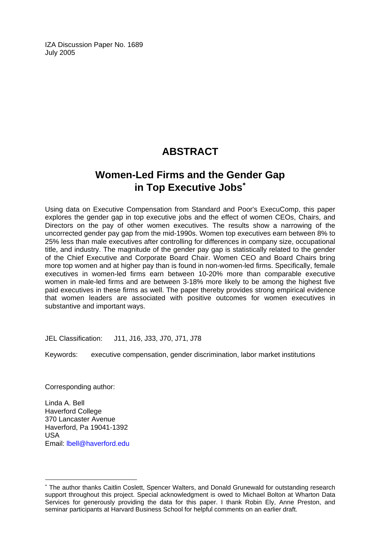IZA Discussion Paper No. 1689 July 2005

## **ABSTRACT**

## **Women-Led Firms and the Gender Gap in Top Executive Jobs**[∗](#page-2-0)

Using data on Executive Compensation from Standard and Poor's ExecuComp, this paper explores the gender gap in top executive jobs and the effect of women CEOs, Chairs, and Directors on the pay of other women executives. The results show a narrowing of the uncorrected gender pay gap from the mid-1990s. Women top executives earn between 8% to 25% less than male executives after controlling for differences in company size, occupational title, and industry. The magnitude of the gender pay gap is statistically related to the gender of the Chief Executive and Corporate Board Chair. Women CEO and Board Chairs bring more top women and at higher pay than is found in non-women-led firms. Specifically, female executives in women-led firms earn between 10-20% more than comparable executive women in male-led firms and are between 3-18% more likely to be among the highest five paid executives in these firms as well. The paper thereby provides strong empirical evidence that women leaders are associated with positive outcomes for women executives in substantive and important ways.

JEL Classification: J11, J16, J33, J70, J71, J78

Keywords: executive compensation, gender discrimination, labor market institutions

Corresponding author:

 $\overline{a}$ 

Linda A. Bell Haverford College 370 Lancaster Avenue Haverford, Pa 19041-1392 USA Email: [lbell@haverford.edu](mailto:lbell@haverford.edu)

<span id="page-2-0"></span><sup>∗</sup> The author thanks Caitlin Coslett, Spencer Walters, and Donald Grunewald for outstanding research support throughout this project. Special acknowledgment is owed to Michael Bolton at Wharton Data Services for generously providing the data for this paper. I thank Robin Ely, Anne Preston, and seminar participants at Harvard Business School for helpful comments on an earlier draft.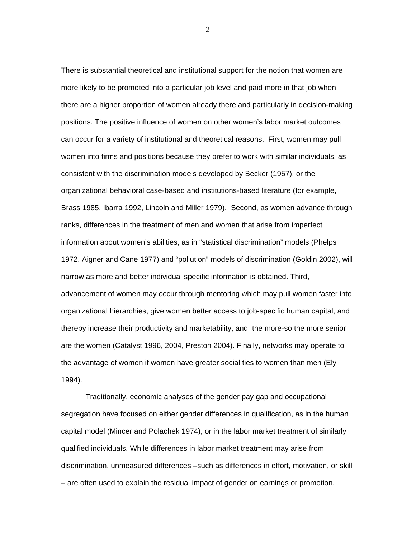There is substantial theoretical and institutional support for the notion that women are more likely to be promoted into a particular job level and paid more in that job when there are a higher proportion of women already there and particularly in decision-making positions. The positive influence of women on other women's labor market outcomes can occur for a variety of institutional and theoretical reasons. First, women may pull women into firms and positions because they prefer to work with similar individuals, as consistent with the discrimination models developed by Becker (1957), or the organizational behavioral case-based and institutions-based literature (for example, Brass 1985, Ibarra 1992, Lincoln and Miller 1979). Second, as women advance through ranks, differences in the treatment of men and women that arise from imperfect information about women's abilities, as in "statistical discrimination" models (Phelps 1972, Aigner and Cane 1977) and "pollution" models of discrimination (Goldin 2002), will narrow as more and better individual specific information is obtained. Third, advancement of women may occur through mentoring which may pull women faster into organizational hierarchies, give women better access to job-specific human capital, and thereby increase their productivity and marketability, and the more-so the more senior are the women (Catalyst 1996, 2004, Preston 2004). Finally, networks may operate to the advantage of women if women have greater social ties to women than men (Ely 1994).

 Traditionally, economic analyses of the gender pay gap and occupational segregation have focused on either gender differences in qualification, as in the human capital model (Mincer and Polachek 1974), or in the labor market treatment of similarly qualified individuals. While differences in labor market treatment may arise from discrimination, unmeasured differences –such as differences in effort, motivation, or skill – are often used to explain the residual impact of gender on earnings or promotion,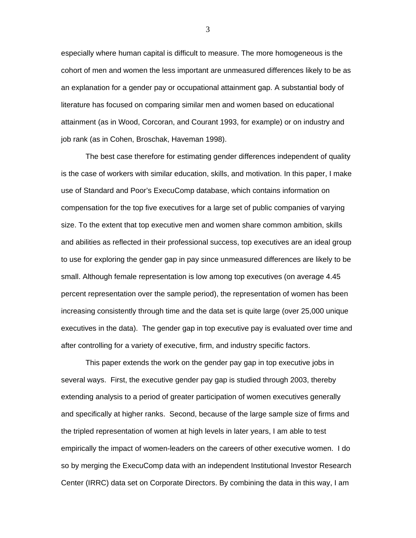especially where human capital is difficult to measure. The more homogeneous is the cohort of men and women the less important are unmeasured differences likely to be as an explanation for a gender pay or occupational attainment gap. A substantial body of literature has focused on comparing similar men and women based on educational attainment (as in Wood, Corcoran, and Courant 1993, for example) or on industry and job rank (as in Cohen, Broschak, Haveman 1998).

 The best case therefore for estimating gender differences independent of quality is the case of workers with similar education, skills, and motivation. In this paper, I make use of Standard and Poor's ExecuComp database, which contains information on compensation for the top five executives for a large set of public companies of varying size. To the extent that top executive men and women share common ambition, skills and abilities as reflected in their professional success, top executives are an ideal group to use for exploring the gender gap in pay since unmeasured differences are likely to be small. Although female representation is low among top executives (on average 4.45 percent representation over the sample period), the representation of women has been increasing consistently through time and the data set is quite large (over 25,000 unique executives in the data). The gender gap in top executive pay is evaluated over time and after controlling for a variety of executive, firm, and industry specific factors.

This paper extends the work on the gender pay gap in top executive jobs in several ways. First, the executive gender pay gap is studied through 2003, thereby extending analysis to a period of greater participation of women executives generally and specifically at higher ranks. Second, because of the large sample size of firms and the tripled representation of women at high levels in later years, I am able to test empirically the impact of women-leaders on the careers of other executive women. I do so by merging the ExecuComp data with an independent Institutional Investor Research Center (IRRC) data set on Corporate Directors. By combining the data in this way, I am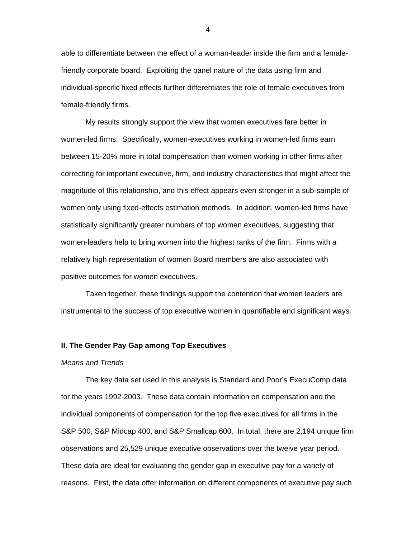able to differentiate between the effect of a woman-leader inside the firm and a femalefriendly corporate board. Exploiting the panel nature of the data using firm and individual-specific fixed effects further differentiates the role of female executives from female-friendly firms.

My results strongly support the view that women executives fare better in women-led firms. Specifically, women-executives working in women-led firms earn between 15-20% more in total compensation than women working in other firms after correcting for important executive, firm, and industry characteristics that might affect the magnitude of this relationship, and this effect appears even stronger in a sub-sample of women only using fixed-effects estimation methods. In addition, women-led firms have statistically significantly greater numbers of top women executives, suggesting that women-leaders help to bring women into the highest ranks of the firm. Firms with a relatively high representation of women Board members are also associated with positive outcomes for women executives.

Taken together, these findings support the contention that women leaders are instrumental to the success of top executive women in quantifiable and significant ways.

#### **II. The Gender Pay Gap among Top Executives**

#### *Means and Trends*

The key data set used in this analysis is Standard and Poor's ExecuComp data for the years 1992-2003. These data contain information on compensation and the individual components of compensation for the top five executives for all firms in the S&P 500, S&P Midcap 400, and S&P Smallcap 600. In total, there are 2,194 unique firm observations and 25,529 unique executive observations over the twelve year period. These data are ideal for evaluating the gender gap in executive pay for a variety of reasons. First, the data offer information on different components of executive pay such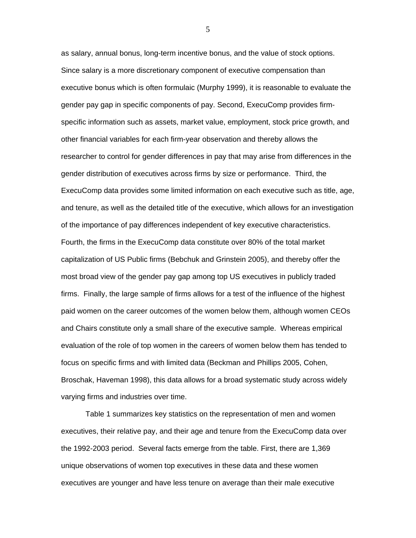as salary, annual bonus, long-term incentive bonus, and the value of stock options. Since salary is a more discretionary component of executive compensation than executive bonus which is often formulaic (Murphy 1999), it is reasonable to evaluate the gender pay gap in specific components of pay. Second, ExecuComp provides firmspecific information such as assets, market value, employment, stock price growth, and other financial variables for each firm-year observation and thereby allows the researcher to control for gender differences in pay that may arise from differences in the gender distribution of executives across firms by size or performance. Third, the ExecuComp data provides some limited information on each executive such as title, age, and tenure, as well as the detailed title of the executive, which allows for an investigation of the importance of pay differences independent of key executive characteristics. Fourth, the firms in the ExecuComp data constitute over 80% of the total market capitalization of US Public firms (Bebchuk and Grinstein 2005), and thereby offer the most broad view of the gender pay gap among top US executives in publicly traded firms. Finally, the large sample of firms allows for a test of the influence of the highest paid women on the career outcomes of the women below them, although women CEOs and Chairs constitute only a small share of the executive sample. Whereas empirical evaluation of the role of top women in the careers of women below them has tended to focus on specific firms and with limited data (Beckman and Phillips 2005, Cohen, Broschak, Haveman 1998), this data allows for a broad systematic study across widely varying firms and industries over time.

Table 1 summarizes key statistics on the representation of men and women executives, their relative pay, and their age and tenure from the ExecuComp data over the 1992-2003 period. Several facts emerge from the table. First, there are 1,369 unique observations of women top executives in these data and these women executives are younger and have less tenure on average than their male executive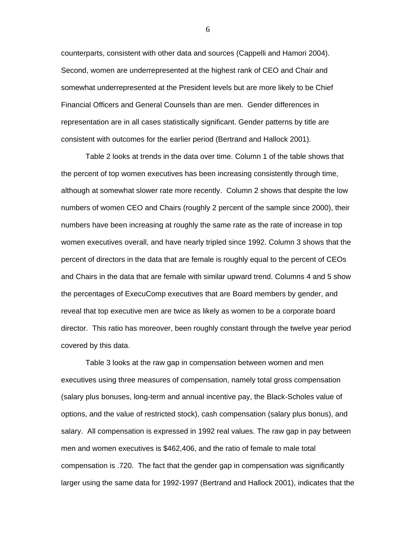counterparts, consistent with other data and sources (Cappelli and Hamori 2004). Second, women are underrepresented at the highest rank of CEO and Chair and somewhat underrepresented at the President levels but are more likely to be Chief Financial Officers and General Counsels than are men. Gender differences in representation are in all cases statistically significant. Gender patterns by title are consistent with outcomes for the earlier period (Bertrand and Hallock 2001).

Table 2 looks at trends in the data over time. Column 1 of the table shows that the percent of top women executives has been increasing consistently through time, although at somewhat slower rate more recently. Column 2 shows that despite the low numbers of women CEO and Chairs (roughly 2 percent of the sample since 2000), their numbers have been increasing at roughly the same rate as the rate of increase in top women executives overall, and have nearly tripled since 1992. Column 3 shows that the percent of directors in the data that are female is roughly equal to the percent of CEOs and Chairs in the data that are female with similar upward trend. Columns 4 and 5 show the percentages of ExecuComp executives that are Board members by gender, and reveal that top executive men are twice as likely as women to be a corporate board director. This ratio has moreover, been roughly constant through the twelve year period covered by this data.

Table 3 looks at the raw gap in compensation between women and men executives using three measures of compensation, namely total gross compensation (salary plus bonuses, long-term and annual incentive pay, the Black-Scholes value of options, and the value of restricted stock), cash compensation (salary plus bonus), and salary. All compensation is expressed in 1992 real values. The raw gap in pay between men and women executives is \$462,406, and the ratio of female to male total compensation is .720. The fact that the gender gap in compensation was significantly larger using the same data for 1992-1997 (Bertrand and Hallock 2001), indicates that the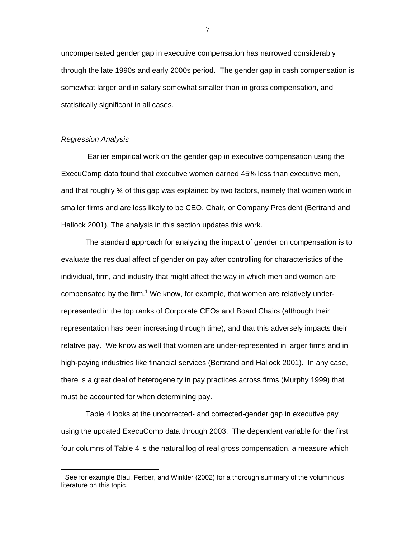uncompensated gender gap in executive compensation has narrowed considerably through the late 1990s and early 2000s period. The gender gap in cash compensation is somewhat larger and in salary somewhat smaller than in gross compensation, and statistically significant in all cases.

#### *Regression Analysis*

 $\overline{a}$ 

 Earlier empirical work on the gender gap in executive compensation using the ExecuComp data found that executive women earned 45% less than executive men, and that roughly ¾ of this gap was explained by two factors, namely that women work in smaller firms and are less likely to be CEO, Chair, or Company President (Bertrand and Hallock 2001). The analysis in this section updates this work.

The standard approach for analyzing the impact of gender on compensation is to evaluate the residual affect of gender on pay after controlling for characteristics of the individual, firm, and industry that might affect the way in which men and women are compensated by the firm.<sup>1</sup> We know, for example, that women are relatively underrepresented in the top ranks of Corporate CEOs and Board Chairs (although their representation has been increasing through time), and that this adversely impacts their relative pay. We know as well that women are under-represented in larger firms and in high-paying industries like financial services (Bertrand and Hallock 2001). In any case, there is a great deal of heterogeneity in pay practices across firms (Murphy 1999) that must be accounted for when determining pay.

 Table 4 looks at the uncorrected- and corrected-gender gap in executive pay using the updated ExecuComp data through 2003. The dependent variable for the first four columns of Table 4 is the natural log of real gross compensation, a measure which

<sup>&</sup>lt;sup>1</sup> See for example Blau, Ferber, and Winkler (2002) for a thorough summary of the voluminous literature on this topic.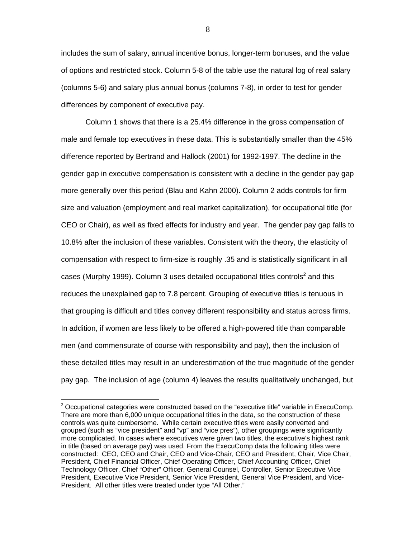includes the sum of salary, annual incentive bonus, longer-term bonuses, and the value of options and restricted stock. Column 5-8 of the table use the natural log of real salary (columns 5-6) and salary plus annual bonus (columns 7-8), in order to test for gender differences by component of executive pay.

Column 1 shows that there is a 25.4% difference in the gross compensation of male and female top executives in these data. This is substantially smaller than the 45% difference reported by Bertrand and Hallock (2001) for 1992-1997. The decline in the gender gap in executive compensation is consistent with a decline in the gender pay gap more generally over this period (Blau and Kahn 2000). Column 2 adds controls for firm size and valuation (employment and real market capitalization), for occupational title (for CEO or Chair), as well as fixed effects for industry and year. The gender pay gap falls to 10.8% after the inclusion of these variables. Consistent with the theory, the elasticity of compensation with respect to firm-size is roughly .35 and is statistically significant in all cases (Murphy 1999). Column 3 uses detailed occupational titles controls<sup>2</sup> and this reduces the unexplained gap to 7.8 percent. Grouping of executive titles is tenuous in that grouping is difficult and titles convey different responsibility and status across firms. In addition, if women are less likely to be offered a high-powered title than comparable men (and commensurate of course with responsibility and pay), then the inclusion of these detailed titles may result in an underestimation of the true magnitude of the gender pay gap. The inclusion of age (column 4) leaves the results qualitatively unchanged, but

 $\overline{a}$ 

 $2$  Occupational categories were constructed based on the "executive title" variable in ExecuComp. There are more than 6,000 unique occupational titles in the data, so the construction of these controls was quite cumbersome. While certain executive titles were easily converted and grouped (such as "vice president" and "vp" and "vice pres"), other groupings were significantly more complicated. In cases where executives were given two titles, the executive's highest rank in title (based on average pay) was used. From the ExecuComp data the following titles were constructed: CEO, CEO and Chair, CEO and Vice-Chair, CEO and President, Chair, Vice Chair, President, Chief Financial Officer, Chief Operating Officer, Chief Accounting Officer, Chief Technology Officer, Chief "Other" Officer, General Counsel, Controller, Senior Executive Vice President, Executive Vice President, Senior Vice President, General Vice President, and Vice-President. All other titles were treated under type "All Other."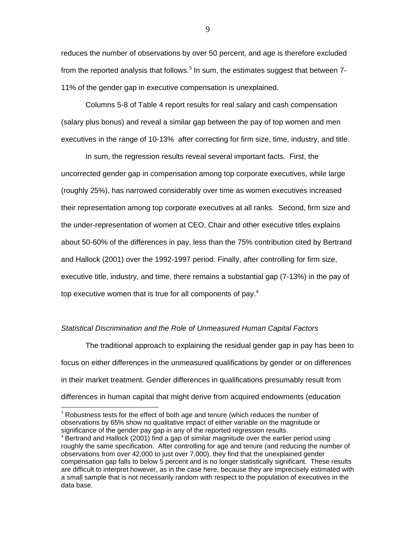reduces the number of observations by over 50 percent, and age is therefore excluded from the reported analysis that follows. $^3$  In sum, the estimates suggest that between 7-11% of the gender gap in executive compensation is unexplained.

 Columns 5-8 of Table 4 report results for real salary and cash compensation (salary plus bonus) and reveal a similar gap between the pay of top women and men executives in the range of 10-13% after correcting for firm size, time, industry, and title.

 In sum, the regression results reveal several important facts. First, the uncorrected gender gap in compensation among top corporate executives, while large (roughly 25%), has narrowed considerably over time as women executives increased their representation among top corporate executives at all ranks. Second, firm size and the under-representation of women at CEO, Chair and other executive titles explains about 50-60% of the differences in pay, less than the 75% contribution cited by Bertrand and Hallock (2001) over the 1992-1997 period. Finally, after controlling for firm size, executive title, industry, and time, there remains a substantial gap (7-13%) in the pay of top executive women that is true for all components of pay.<sup>4</sup>

#### *Statistical Discrimination and the Role of Unmeasured Human Capital Factors*

 The traditional approach to explaining the residual gender gap in pay has been to focus on either differences in the unmeasured qualifications by gender or on differences in their market treatment. Gender differences in qualifications presumably result from differences in human capital that might derive from acquired endowments (education

 $\overline{a}$ 

 $3$  Robustness tests for the effect of both age and tenure (which reduces the number of observations by 65% show no qualitative impact of either variable on the magnitude or significance of the gender pay gap in any of the reported regression results.<br><sup>4</sup> Bertrand and Hallock (2001) find a gap of similar magnitude over the earlier period using

roughly the same specification. After controlling for age and tenure (and reducing the number of observations from over 42,000 to just over 7,000), they find that the unexplained gender compensation gap falls to below 5 percent and is no longer statistically significant. These results are difficult to interpret however, as in the case here, because they are imprecisely estimated with a small sample that is not necessarily random with respect to the population of executives in the data base.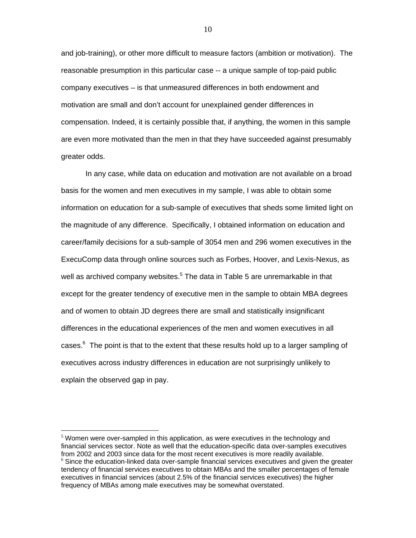and job-training), or other more difficult to measure factors (ambition or motivation). The reasonable presumption in this particular case -- a unique sample of top-paid public company executives – is that unmeasured differences in both endowment and motivation are small and don't account for unexplained gender differences in compensation. Indeed, it is certainly possible that, if anything, the women in this sample are even more motivated than the men in that they have succeeded against presumably greater odds.

 In any case, while data on education and motivation are not available on a broad basis for the women and men executives in my sample, I was able to obtain some information on education for a sub-sample of executives that sheds some limited light on the magnitude of any difference. Specifically, I obtained information on education and career/family decisions for a sub-sample of 3054 men and 296 women executives in the ExecuComp data through online sources such as Forbes, Hoover, and Lexis-Nexus, as well as archived company websites.<sup>5</sup> The data in Table 5 are unremarkable in that except for the greater tendency of executive men in the sample to obtain MBA degrees and of women to obtain JD degrees there are small and statistically insignificant differences in the educational experiences of the men and women executives in all cases.<sup>6</sup> The point is that to the extent that these results hold up to a larger sampling of executives across industry differences in education are not surprisingly unlikely to explain the observed gap in pay.

 $\overline{a}$ 

 $<sup>5</sup>$  Women were over-sampled in this application, as were executives in the technology and</sup> financial services sector. Note as well that the education-specific data over-samples executives from 2002 and 2003 since data for the most recent executives is more readily available.<br><sup>6</sup> Since the education-linked data over-sample financial services executives and given the greater tendency of financial services executives to obtain MBAs and the smaller percentages of female executives in financial services (about 2.5% of the financial services executives) the higher frequency of MBAs among male executives may be somewhat overstated.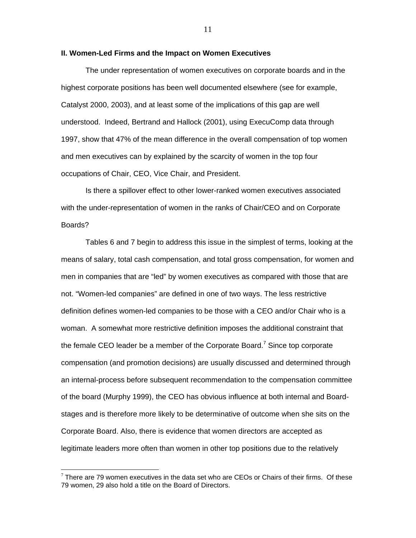#### **II. Women-Led Firms and the Impact on Women Executives**

The under representation of women executives on corporate boards and in the highest corporate positions has been well documented elsewhere (see for example, Catalyst 2000, 2003), and at least some of the implications of this gap are well understood. Indeed, Bertrand and Hallock (2001), using ExecuComp data through 1997, show that 47% of the mean difference in the overall compensation of top women and men executives can by explained by the scarcity of women in the top four occupations of Chair, CEO, Vice Chair, and President.

 Is there a spillover effect to other lower-ranked women executives associated with the under-representation of women in the ranks of Chair/CEO and on Corporate Boards?

 Tables 6 and 7 begin to address this issue in the simplest of terms, looking at the means of salary, total cash compensation, and total gross compensation, for women and men in companies that are "led" by women executives as compared with those that are not. "Women-led companies" are defined in one of two ways. The less restrictive definition defines women-led companies to be those with a CEO and/or Chair who is a woman. A somewhat more restrictive definition imposes the additional constraint that the female CEO leader be a member of the Corporate Board.<sup>7</sup> Since top corporate compensation (and promotion decisions) are usually discussed and determined through an internal-process before subsequent recommendation to the compensation committee of the board (Murphy 1999), the CEO has obvious influence at both internal and Boardstages and is therefore more likely to be determinative of outcome when she sits on the Corporate Board. Also, there is evidence that women directors are accepted as legitimate leaders more often than women in other top positions due to the relatively

 $\overline{a}$ 

 $7$  There are 79 women executives in the data set who are CEOs or Chairs of their firms. Of these 79 women, 29 also hold a title on the Board of Directors.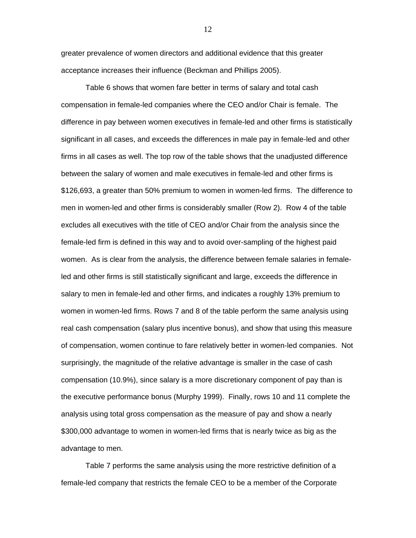greater prevalence of women directors and additional evidence that this greater acceptance increases their influence (Beckman and Phillips 2005).

 Table 6 shows that women fare better in terms of salary and total cash compensation in female-led companies where the CEO and/or Chair is female. The difference in pay between women executives in female-led and other firms is statistically significant in all cases, and exceeds the differences in male pay in female-led and other firms in all cases as well. The top row of the table shows that the unadjusted difference between the salary of women and male executives in female-led and other firms is \$126,693, a greater than 50% premium to women in women-led firms. The difference to men in women-led and other firms is considerably smaller (Row 2). Row 4 of the table excludes all executives with the title of CEO and/or Chair from the analysis since the female-led firm is defined in this way and to avoid over-sampling of the highest paid women. As is clear from the analysis, the difference between female salaries in femaleled and other firms is still statistically significant and large, exceeds the difference in salary to men in female-led and other firms, and indicates a roughly 13% premium to women in women-led firms. Rows 7 and 8 of the table perform the same analysis using real cash compensation (salary plus incentive bonus), and show that using this measure of compensation, women continue to fare relatively better in women-led companies. Not surprisingly, the magnitude of the relative advantage is smaller in the case of cash compensation (10.9%), since salary is a more discretionary component of pay than is the executive performance bonus (Murphy 1999). Finally, rows 10 and 11 complete the analysis using total gross compensation as the measure of pay and show a nearly \$300,000 advantage to women in women-led firms that is nearly twice as big as the advantage to men.

 Table 7 performs the same analysis using the more restrictive definition of a female-led company that restricts the female CEO to be a member of the Corporate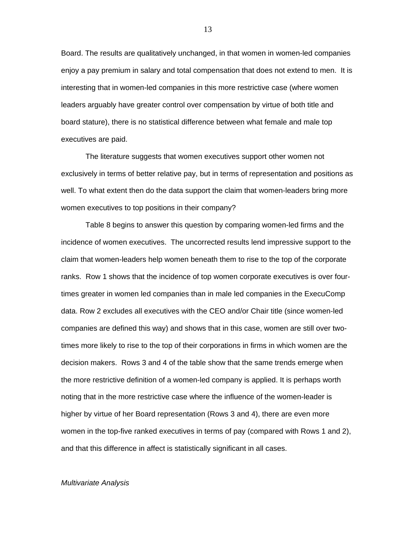Board. The results are qualitatively unchanged, in that women in women-led companies enjoy a pay premium in salary and total compensation that does not extend to men. It is interesting that in women-led companies in this more restrictive case (where women leaders arguably have greater control over compensation by virtue of both title and board stature), there is no statistical difference between what female and male top executives are paid.

 The literature suggests that women executives support other women not exclusively in terms of better relative pay, but in terms of representation and positions as well. To what extent then do the data support the claim that women-leaders bring more women executives to top positions in their company?

 Table 8 begins to answer this question by comparing women-led firms and the incidence of women executives. The uncorrected results lend impressive support to the claim that women-leaders help women beneath them to rise to the top of the corporate ranks. Row 1 shows that the incidence of top women corporate executives is over fourtimes greater in women led companies than in male led companies in the ExecuComp data. Row 2 excludes all executives with the CEO and/or Chair title (since women-led companies are defined this way) and shows that in this case, women are still over twotimes more likely to rise to the top of their corporations in firms in which women are the decision makers. Rows 3 and 4 of the table show that the same trends emerge when the more restrictive definition of a women-led company is applied. It is perhaps worth noting that in the more restrictive case where the influence of the women-leader is higher by virtue of her Board representation (Rows 3 and 4), there are even more women in the top-five ranked executives in terms of pay (compared with Rows 1 and 2), and that this difference in affect is statistically significant in all cases.

#### *Multivariate Analysis*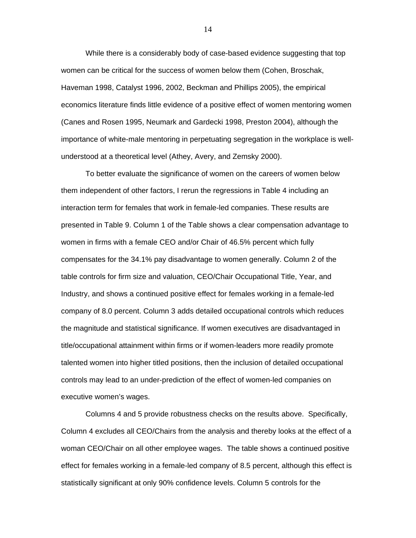While there is a considerably body of case-based evidence suggesting that top women can be critical for the success of women below them (Cohen, Broschak, Haveman 1998, Catalyst 1996, 2002, Beckman and Phillips 2005), the empirical economics literature finds little evidence of a positive effect of women mentoring women (Canes and Rosen 1995, Neumark and Gardecki 1998, Preston 2004), although the importance of white-male mentoring in perpetuating segregation in the workplace is wellunderstood at a theoretical level (Athey, Avery, and Zemsky 2000).

 To better evaluate the significance of women on the careers of women below them independent of other factors, I rerun the regressions in Table 4 including an interaction term for females that work in female-led companies. These results are presented in Table 9. Column 1 of the Table shows a clear compensation advantage to women in firms with a female CEO and/or Chair of 46.5% percent which fully compensates for the 34.1% pay disadvantage to women generally. Column 2 of the table controls for firm size and valuation, CEO/Chair Occupational Title, Year, and Industry, and shows a continued positive effect for females working in a female-led company of 8.0 percent. Column 3 adds detailed occupational controls which reduces the magnitude and statistical significance. If women executives are disadvantaged in title/occupational attainment within firms or if women-leaders more readily promote talented women into higher titled positions, then the inclusion of detailed occupational controls may lead to an under-prediction of the effect of women-led companies on executive women's wages.

Columns 4 and 5 provide robustness checks on the results above. Specifically, Column 4 excludes all CEO/Chairs from the analysis and thereby looks at the effect of a woman CEO/Chair on all other employee wages. The table shows a continued positive effect for females working in a female-led company of 8.5 percent, although this effect is statistically significant at only 90% confidence levels. Column 5 controls for the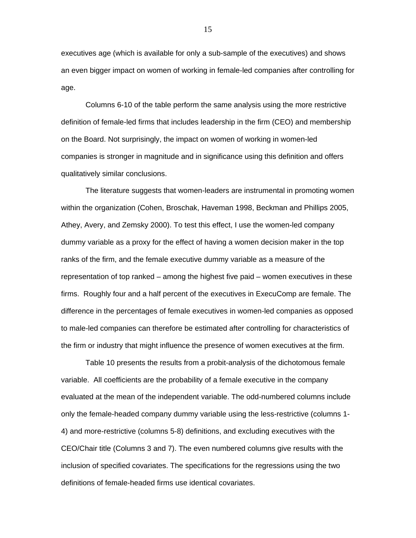executives age (which is available for only a sub-sample of the executives) and shows an even bigger impact on women of working in female-led companies after controlling for age.

 Columns 6-10 of the table perform the same analysis using the more restrictive definition of female-led firms that includes leadership in the firm (CEO) and membership on the Board. Not surprisingly, the impact on women of working in women-led companies is stronger in magnitude and in significance using this definition and offers qualitatively similar conclusions.

 The literature suggests that women-leaders are instrumental in promoting women within the organization (Cohen, Broschak, Haveman 1998, Beckman and Phillips 2005, Athey, Avery, and Zemsky 2000). To test this effect, I use the women-led company dummy variable as a proxy for the effect of having a women decision maker in the top ranks of the firm, and the female executive dummy variable as a measure of the representation of top ranked – among the highest five paid – women executives in these firms. Roughly four and a half percent of the executives in ExecuComp are female. The difference in the percentages of female executives in women-led companies as opposed to male-led companies can therefore be estimated after controlling for characteristics of the firm or industry that might influence the presence of women executives at the firm.

Table 10 presents the results from a probit-analysis of the dichotomous female variable. All coefficients are the probability of a female executive in the company evaluated at the mean of the independent variable. The odd-numbered columns include only the female-headed company dummy variable using the less-restrictive (columns 1- 4) and more-restrictive (columns 5-8) definitions, and excluding executives with the CEO/Chair title (Columns 3 and 7). The even numbered columns give results with the inclusion of specified covariates. The specifications for the regressions using the two definitions of female-headed firms use identical covariates.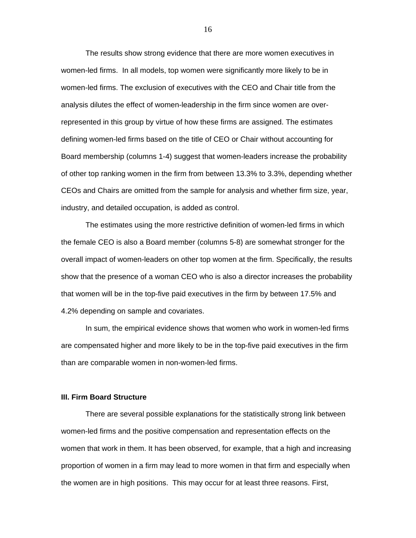The results show strong evidence that there are more women executives in women-led firms. In all models, top women were significantly more likely to be in women-led firms. The exclusion of executives with the CEO and Chair title from the analysis dilutes the effect of women-leadership in the firm since women are overrepresented in this group by virtue of how these firms are assigned. The estimates defining women-led firms based on the title of CEO or Chair without accounting for Board membership (columns 1-4) suggest that women-leaders increase the probability of other top ranking women in the firm from between 13.3% to 3.3%, depending whether CEOs and Chairs are omitted from the sample for analysis and whether firm size, year, industry, and detailed occupation, is added as control.

The estimates using the more restrictive definition of women-led firms in which the female CEO is also a Board member (columns 5-8) are somewhat stronger for the overall impact of women-leaders on other top women at the firm. Specifically, the results show that the presence of a woman CEO who is also a director increases the probability that women will be in the top-five paid executives in the firm by between 17.5% and 4.2% depending on sample and covariates.

 In sum, the empirical evidence shows that women who work in women-led firms are compensated higher and more likely to be in the top-five paid executives in the firm than are comparable women in non-women-led firms.

#### **III. Firm Board Structure**

There are several possible explanations for the statistically strong link between women-led firms and the positive compensation and representation effects on the women that work in them. It has been observed, for example, that a high and increasing proportion of women in a firm may lead to more women in that firm and especially when the women are in high positions. This may occur for at least three reasons. First,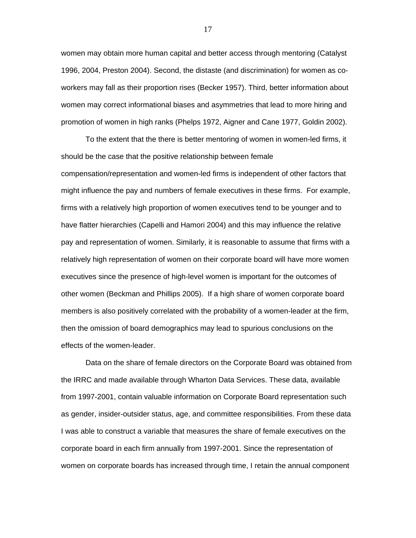women may obtain more human capital and better access through mentoring (Catalyst 1996, 2004, Preston 2004). Second, the distaste (and discrimination) for women as coworkers may fall as their proportion rises (Becker 1957). Third, better information about women may correct informational biases and asymmetries that lead to more hiring and promotion of women in high ranks (Phelps 1972, Aigner and Cane 1977, Goldin 2002).

 To the extent that the there is better mentoring of women in women-led firms, it should be the case that the positive relationship between female compensation/representation and women-led firms is independent of other factors that might influence the pay and numbers of female executives in these firms. For example, firms with a relatively high proportion of women executives tend to be younger and to have flatter hierarchies (Capelli and Hamori 2004) and this may influence the relative pay and representation of women. Similarly, it is reasonable to assume that firms with a relatively high representation of women on their corporate board will have more women executives since the presence of high-level women is important for the outcomes of other women (Beckman and Phillips 2005). If a high share of women corporate board members is also positively correlated with the probability of a women-leader at the firm, then the omission of board demographics may lead to spurious conclusions on the effects of the women-leader.

 Data on the share of female directors on the Corporate Board was obtained from the IRRC and made available through Wharton Data Services. These data, available from 1997-2001, contain valuable information on Corporate Board representation such as gender, insider-outsider status, age, and committee responsibilities. From these data I was able to construct a variable that measures the share of female executives on the corporate board in each firm annually from 1997-2001. Since the representation of women on corporate boards has increased through time, I retain the annual component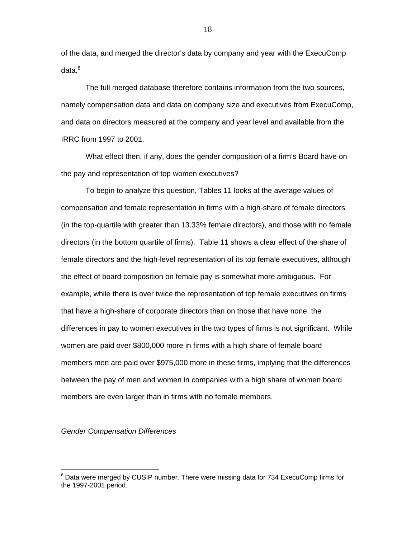of the data, and merged the director's data by company and year with the ExecuComp  $data<sup>8</sup>$ 

 The full merged database therefore contains information from the two sources, namely compensation data and data on company size and executives from ExecuComp, and data on directors measured at the company and year level and available from the IRRC from 1997 to 2001.

 What effect then, if any, does the gender composition of a firm's Board have on the pay and representation of top women executives?

 To begin to analyze this question, Tables 11 looks at the average values of compensation and female representation in firms with a high-share of female directors (in the top-quartile with greater than 13.33% female directors), and those with no female directors (in the bottom quartile of firms). Table 11 shows a clear effect of the share of female directors and the high-level representation of its top female executives, although the effect of board composition on female pay is somewhat more ambiguous. For example, while there is over twice the representation of top female executives on firms that have a high-share of corporate directors than on those that have none, the differences in pay to women executives in the two types of firms is not significant. While women are paid over \$800,000 more in firms with a high share of female board members men are paid over \$975,000 more in these firms, implying that the differences between the pay of men and women in companies with a high share of women board members are even larger than in firms with no female members.

*Gender Compensation Differences* 

 $\overline{a}$ 

<sup>&</sup>lt;sup>8</sup> Data were merged by CUSIP number. There were missing data for 734 ExecuComp firms for the 1997-2001 period.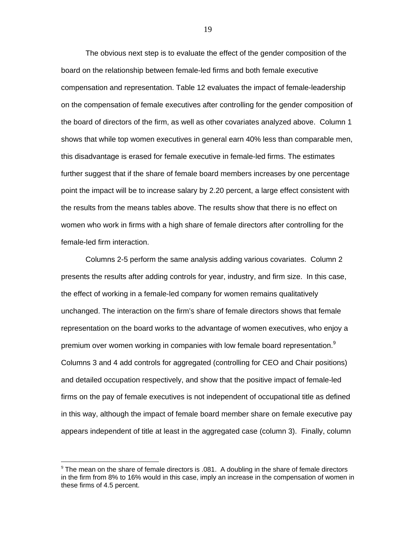The obvious next step is to evaluate the effect of the gender composition of the board on the relationship between female-led firms and both female executive compensation and representation. Table 12 evaluates the impact of female-leadership on the compensation of female executives after controlling for the gender composition of the board of directors of the firm, as well as other covariates analyzed above. Column 1 shows that while top women executives in general earn 40% less than comparable men, this disadvantage is erased for female executive in female-led firms. The estimates further suggest that if the share of female board members increases by one percentage point the impact will be to increase salary by 2.20 percent, a large effect consistent with the results from the means tables above. The results show that there is no effect on women who work in firms with a high share of female directors after controlling for the female-led firm interaction.

 Columns 2-5 perform the same analysis adding various covariates. Column 2 presents the results after adding controls for year, industry, and firm size. In this case, the effect of working in a female-led company for women remains qualitatively unchanged. The interaction on the firm's share of female directors shows that female representation on the board works to the advantage of women executives, who enjoy a premium over women working in companies with low female board representation.<sup>9</sup> Columns 3 and 4 add controls for aggregated (controlling for CEO and Chair positions) and detailed occupation respectively, and show that the positive impact of female-led firms on the pay of female executives is not independent of occupational title as defined in this way, although the impact of female board member share on female executive pay appears independent of title at least in the aggregated case (column 3). Finally, column

 $\overline{a}$ 

 $9$  The mean on the share of female directors is .081. A doubling in the share of female directors in the firm from 8% to 16% would in this case, imply an increase in the compensation of women in these firms of 4.5 percent.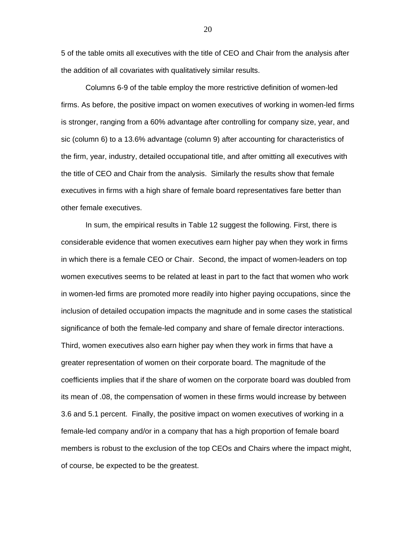5 of the table omits all executives with the title of CEO and Chair from the analysis after the addition of all covariates with qualitatively similar results.

 Columns 6-9 of the table employ the more restrictive definition of women-led firms. As before, the positive impact on women executives of working in women-led firms is stronger, ranging from a 60% advantage after controlling for company size, year, and sic (column 6) to a 13.6% advantage (column 9) after accounting for characteristics of the firm, year, industry, detailed occupational title, and after omitting all executives with the title of CEO and Chair from the analysis. Similarly the results show that female executives in firms with a high share of female board representatives fare better than other female executives.

 In sum, the empirical results in Table 12 suggest the following. First, there is considerable evidence that women executives earn higher pay when they work in firms in which there is a female CEO or Chair. Second, the impact of women-leaders on top women executives seems to be related at least in part to the fact that women who work in women-led firms are promoted more readily into higher paying occupations, since the inclusion of detailed occupation impacts the magnitude and in some cases the statistical significance of both the female-led company and share of female director interactions. Third, women executives also earn higher pay when they work in firms that have a greater representation of women on their corporate board. The magnitude of the coefficients implies that if the share of women on the corporate board was doubled from its mean of .08, the compensation of women in these firms would increase by between 3.6 and 5.1 percent. Finally, the positive impact on women executives of working in a female-led company and/or in a company that has a high proportion of female board members is robust to the exclusion of the top CEOs and Chairs where the impact might, of course, be expected to be the greatest.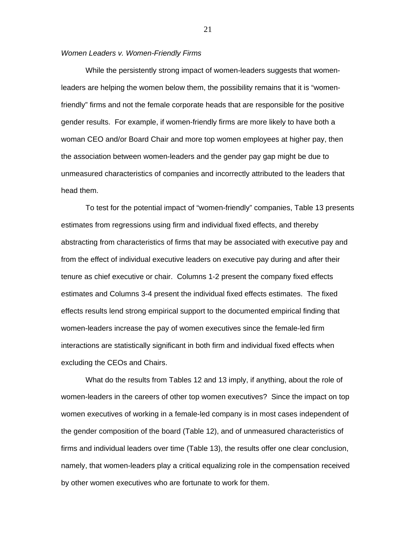#### *Women Leaders v. Women-Friendly Firms*

 While the persistently strong impact of women-leaders suggests that womenleaders are helping the women below them, the possibility remains that it is "womenfriendly" firms and not the female corporate heads that are responsible for the positive gender results. For example, if women-friendly firms are more likely to have both a woman CEO and/or Board Chair and more top women employees at higher pay, then the association between women-leaders and the gender pay gap might be due to unmeasured characteristics of companies and incorrectly attributed to the leaders that head them.

 To test for the potential impact of "women-friendly" companies, Table 13 presents estimates from regressions using firm and individual fixed effects, and thereby abstracting from characteristics of firms that may be associated with executive pay and from the effect of individual executive leaders on executive pay during and after their tenure as chief executive or chair. Columns 1-2 present the company fixed effects estimates and Columns 3-4 present the individual fixed effects estimates. The fixed effects results lend strong empirical support to the documented empirical finding that women-leaders increase the pay of women executives since the female-led firm interactions are statistically significant in both firm and individual fixed effects when excluding the CEOs and Chairs.

 What do the results from Tables 12 and 13 imply, if anything, about the role of women-leaders in the careers of other top women executives? Since the impact on top women executives of working in a female-led company is in most cases independent of the gender composition of the board (Table 12), and of unmeasured characteristics of firms and individual leaders over time (Table 13), the results offer one clear conclusion, namely, that women-leaders play a critical equalizing role in the compensation received by other women executives who are fortunate to work for them.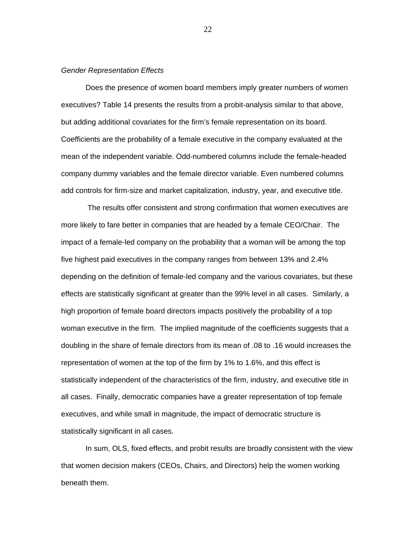#### *Gender Representation Effects*

Does the presence of women board members imply greater numbers of women executives? Table 14 presents the results from a probit-analysis similar to that above, but adding additional covariates for the firm's female representation on its board. Coefficients are the probability of a female executive in the company evaluated at the mean of the independent variable. Odd-numbered columns include the female-headed company dummy variables and the female director variable. Even numbered columns add controls for firm-size and market capitalization, industry, year, and executive title.

 The results offer consistent and strong confirmation that women executives are more likely to fare better in companies that are headed by a female CEO/Chair. The impact of a female-led company on the probability that a woman will be among the top five highest paid executives in the company ranges from between 13% and 2.4% depending on the definition of female-led company and the various covariates, but these effects are statistically significant at greater than the 99% level in all cases. Similarly, a high proportion of female board directors impacts positively the probability of a top woman executive in the firm. The implied magnitude of the coefficients suggests that a doubling in the share of female directors from its mean of .08 to .16 would increases the representation of women at the top of the firm by 1% to 1.6%, and this effect is statistically independent of the characteristics of the firm, industry, and executive title in all cases. Finally, democratic companies have a greater representation of top female executives, and while small in magnitude, the impact of democratic structure is statistically significant in all cases.

In sum, OLS, fixed effects, and probit results are broadly consistent with the view that women decision makers (CEOs, Chairs, and Directors) help the women working beneath them.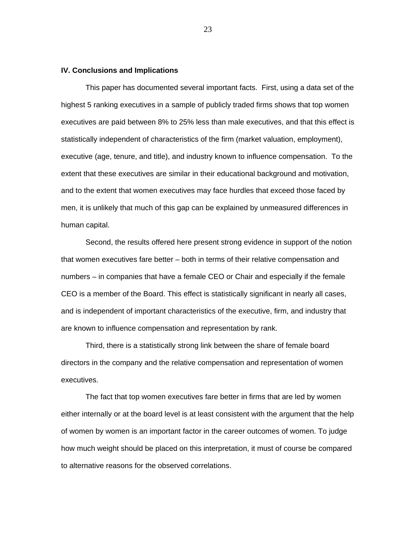#### **IV. Conclusions and Implications**

 This paper has documented several important facts. First, using a data set of the highest 5 ranking executives in a sample of publicly traded firms shows that top women executives are paid between 8% to 25% less than male executives, and that this effect is statistically independent of characteristics of the firm (market valuation, employment), executive (age, tenure, and title), and industry known to influence compensation. To the extent that these executives are similar in their educational background and motivation, and to the extent that women executives may face hurdles that exceed those faced by men, it is unlikely that much of this gap can be explained by unmeasured differences in human capital.

Second, the results offered here present strong evidence in support of the notion that women executives fare better – both in terms of their relative compensation and numbers – in companies that have a female CEO or Chair and especially if the female CEO is a member of the Board. This effect is statistically significant in nearly all cases, and is independent of important characteristics of the executive, firm, and industry that are known to influence compensation and representation by rank.

Third, there is a statistically strong link between the share of female board directors in the company and the relative compensation and representation of women executives.

The fact that top women executives fare better in firms that are led by women either internally or at the board level is at least consistent with the argument that the help of women by women is an important factor in the career outcomes of women. To judge how much weight should be placed on this interpretation, it must of course be compared to alternative reasons for the observed correlations.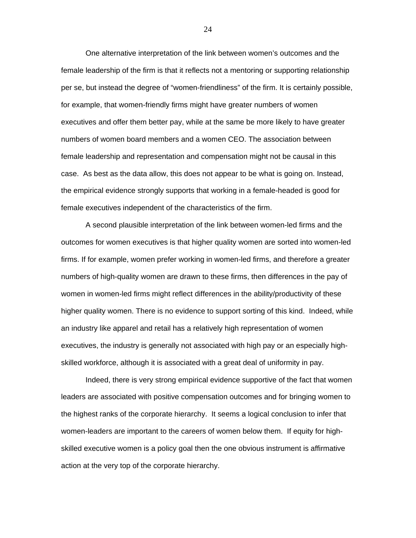One alternative interpretation of the link between women's outcomes and the female leadership of the firm is that it reflects not a mentoring or supporting relationship per se, but instead the degree of "women-friendliness" of the firm. It is certainly possible, for example, that women-friendly firms might have greater numbers of women executives and offer them better pay, while at the same be more likely to have greater numbers of women board members and a women CEO. The association between female leadership and representation and compensation might not be causal in this case. As best as the data allow, this does not appear to be what is going on. Instead, the empirical evidence strongly supports that working in a female-headed is good for female executives independent of the characteristics of the firm.

 A second plausible interpretation of the link between women-led firms and the outcomes for women executives is that higher quality women are sorted into women-led firms. If for example, women prefer working in women-led firms, and therefore a greater numbers of high-quality women are drawn to these firms, then differences in the pay of women in women-led firms might reflect differences in the ability/productivity of these higher quality women. There is no evidence to support sorting of this kind. Indeed, while an industry like apparel and retail has a relatively high representation of women executives, the industry is generally not associated with high pay or an especially highskilled workforce, although it is associated with a great deal of uniformity in pay.

Indeed, there is very strong empirical evidence supportive of the fact that women leaders are associated with positive compensation outcomes and for bringing women to the highest ranks of the corporate hierarchy. It seems a logical conclusion to infer that women-leaders are important to the careers of women below them. If equity for highskilled executive women is a policy goal then the one obvious instrument is affirmative action at the very top of the corporate hierarchy.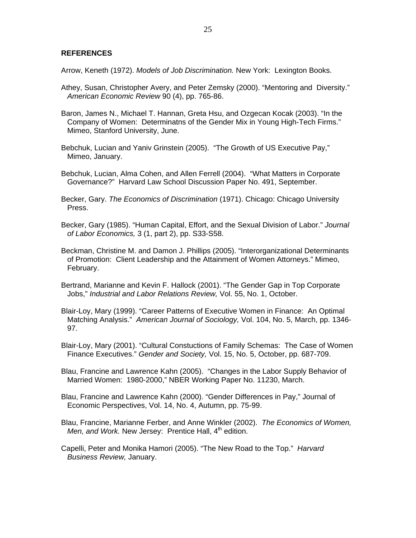#### **REFERENCES**

Arrow, Keneth (1972). *Models of Job Discrimination.* New York: Lexington Books.

- Athey, Susan, Christopher Avery, and Peter Zemsky (2000). "Mentoring and Diversity." *American Economic Review* 90 (4), pp. 765-86.
- Baron, James N., Michael T. Hannan, Greta Hsu, and Ozgecan Kocak (2003). "In the Company of Women: Determinatns of the Gender Mix in Young High-Tech Firms." Mimeo, Stanford University, June.
- Bebchuk, Lucian and Yaniv Grinstein (2005). "The Growth of US Executive Pay," Mimeo, January.
- Bebchuk, Lucian, Alma Cohen, and Allen Ferrell (2004). "What Matters in Corporate Governance?" Harvard Law School Discussion Paper No. 491, September.
- Becker, Gary. *The Economics of Discrimination* (1971). Chicago: Chicago University Press.
- Becker, Gary (1985). "Human Capital, Effort, and the Sexual Division of Labor." *Journal of Labor Economics,* 3 (1, part 2), pp. S33-S58.
- Beckman, Christine M. and Damon J. Phillips (2005). "Interorganizational Determinants of Promotion: Client Leadership and the Attainment of Women Attorneys." Mimeo, February.
- Bertrand, Marianne and Kevin F. Hallock (2001). "The Gender Gap in Top Corporate Jobs," *Industrial and Labor Relations Review,* Vol. 55, No. 1, October.
- Blair-Loy, Mary (1999). "Career Patterns of Executive Women in Finance: An Optimal Matching Analysis." *American Journal of Sociology,* Vol. 104, No. 5, March, pp. 1346- 97.
- Blair-Loy, Mary (2001). "Cultural Constuctions of Family Schemas: The Case of Women Finance Executives." *Gender and Society,* Vol. 15, No. 5, October, pp. 687-709.
- Blau, Francine and Lawrence Kahn (2005). "Changes in the Labor Supply Behavior of Married Women: 1980-2000," NBER Working Paper No. 11230, March.
- Blau, Francine and Lawrence Kahn (2000). "Gender Differences in Pay," Journal of Economic Perspectives, Vol. 14, No. 4, Autumn, pp. 75-99.
- Blau, Francine, Marianne Ferber, and Anne Winkler (2002). *The Economics of Women, Men, and Work.* New Jersey: Prentice Hall, 4<sup>th</sup> edition.
- Capelli, Peter and Monika Hamori (2005). "The New Road to the Top." *Harvard Business Review,* January.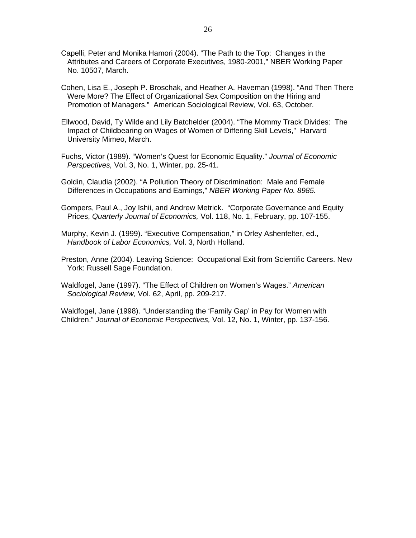- Capelli, Peter and Monika Hamori (2004). "The Path to the Top: Changes in the Attributes and Careers of Corporate Executives, 1980-2001," NBER Working Paper No. 10507, March.
- Cohen, Lisa E., Joseph P. Broschak, and Heather A. Haveman (1998). "And Then There Were More? The Effect of Organizational Sex Composition on the Hiring and Promotion of Managers." American Sociological Review, Vol. 63, October.
- Ellwood, David, Ty Wilde and Lily Batchelder (2004). "The Mommy Track Divides: The Impact of Childbearing on Wages of Women of Differing Skill Levels," Harvard University Mimeo, March.
- Fuchs, Victor (1989). "Women's Quest for Economic Equality." *Journal of Economic Perspectives,* Vol. 3, No. 1, Winter, pp. 25-41.
- Goldin, Claudia (2002). "A Pollution Theory of Discrimination: Male and Female Differences in Occupations and Earnings," *NBER Working Paper No. 8985.*
- Gompers, Paul A., Joy Ishii, and Andrew Metrick. "Corporate Governance and Equity Prices, *Quarterly Journal of Economics,* Vol. 118, No. 1, February, pp. 107-155.
- Murphy, Kevin J. (1999). "Executive Compensation," in Orley Ashenfelter, ed., *Handbook of Labor Economics,* Vol. 3, North Holland.
- Preston, Anne (2004). Leaving Science: Occupational Exit from Scientific Careers. New York: Russell Sage Foundation.
- Waldfogel, Jane (1997). "The Effect of Children on Women's Wages." *American Sociological Review,* Vol. 62, April, pp. 209-217.

Waldfogel, Jane (1998). "Understanding the 'Family Gap' in Pay for Women with Children." *Journal of Economic Perspectives,* Vol. 12, No. 1, Winter, pp. 137-156.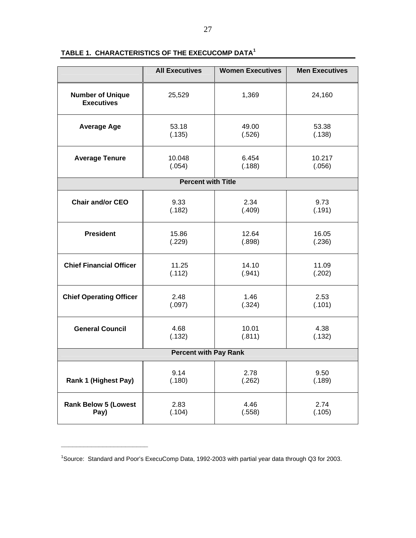|                                              | <b>All Executives</b>        | <b>Women Executives</b> | <b>Men Executives</b> |
|----------------------------------------------|------------------------------|-------------------------|-----------------------|
| <b>Number of Unique</b><br><b>Executives</b> | 25,529                       | 1,369                   | 24,160                |
| <b>Average Age</b>                           | 53.18                        | 49.00                   | 53.38                 |
|                                              | (.135)                       | (.526)                  | (.138)                |
| <b>Average Tenure</b>                        | 10.048<br>(.054)             |                         | 10.217<br>(.056)      |
|                                              | <b>Percent with Title</b>    |                         |                       |
| <b>Chair and/or CEO</b><br>9.33<br>(.182)    |                              | 2.34<br>(.409)          | 9.73<br>(.191)        |
| <b>President</b>                             | 15.86                        | 12.64                   | 16.05                 |
|                                              | (.229)                       | (.898)                  | (.236)                |
| <b>Chief Financial Officer</b>               | 11.25                        | 14.10                   | 11.09                 |
|                                              | (.112)                       | (.941)                  | (.202)                |
| <b>Chief Operating Officer</b>               | 2.48                         | 1.46                    | 2.53                  |
|                                              | (.097)                       | (.324)                  | (.101)                |
| <b>General Council</b>                       | 4.68                         | 10.01                   | 4.38                  |
|                                              | (.132)                       | (.811)                  | (.132)                |
|                                              | <b>Percent with Pay Rank</b> |                         |                       |
| Rank 1 (Highest Pay)                         | 9.14                         | 2.78                    | 9.50                  |
|                                              | (.180)                       | (.262)                  | (.189)                |
| <b>Rank Below 5 (Lowest</b>                  | 2.83                         | 4.46                    | 2.74                  |
| Pay)                                         | (.104)                       | (.558)                  | (.105)                |

#### **TABLE 1. CHARACTERISTICS OF THE EXECUCOMP DATA<sup>1</sup>**

**\_\_\_\_\_\_\_\_\_\_\_\_\_\_\_\_\_\_\_\_\_\_\_** 

<sup>&</sup>lt;sup>1</sup>Source: Standard and Poor's ExecuComp Data, 1992-2003 with partial year data through Q3 for 2003.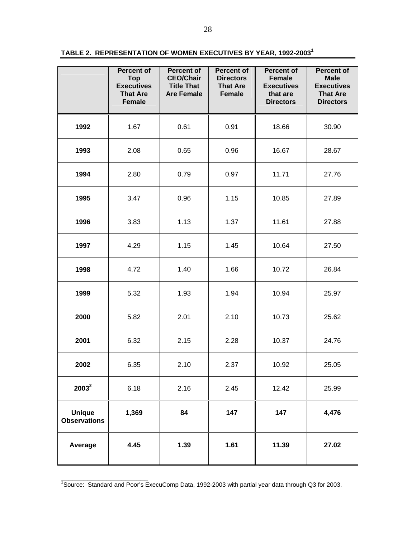|  |  |  | TABLE 2.  REPRESENTATION OF WOMEN EXECUTIVES BY YEAR, 1992-2003 |  |
|--|--|--|-----------------------------------------------------------------|--|
|--|--|--|-----------------------------------------------------------------|--|

|                                      | Percent of<br><b>Top</b><br><b>Executives</b><br><b>That Are</b><br>Female | <b>Percent of</b><br><b>CEO/Chair</b><br><b>Title That</b><br><b>Are Female</b> | <b>Percent of</b><br><b>Directors</b><br><b>That Are</b><br><b>Female</b> | <b>Percent of</b><br><b>Female</b><br><b>Executives</b><br>that are<br><b>Directors</b> | Percent of<br><b>Male</b><br><b>Executives</b><br><b>That Are</b><br><b>Directors</b> |
|--------------------------------------|----------------------------------------------------------------------------|---------------------------------------------------------------------------------|---------------------------------------------------------------------------|-----------------------------------------------------------------------------------------|---------------------------------------------------------------------------------------|
| 1992                                 | 1.67                                                                       | 0.61                                                                            | 0.91                                                                      | 18.66                                                                                   | 30.90                                                                                 |
| 1993                                 | 2.08                                                                       | 0.65                                                                            | 0.96                                                                      | 16.67                                                                                   | 28.67                                                                                 |
| 1994                                 | 2.80                                                                       | 0.79                                                                            | 0.97                                                                      | 11.71                                                                                   | 27.76                                                                                 |
| 1995                                 | 3.47<br>0.96                                                               |                                                                                 | 1.15                                                                      | 10.85                                                                                   | 27.89                                                                                 |
| 1996                                 | 3.83                                                                       | 1.13                                                                            | 1.37                                                                      | 11.61                                                                                   | 27.88                                                                                 |
| 1997                                 | 4.29                                                                       | 1.15                                                                            | 1.45                                                                      | 10.64                                                                                   | 27.50                                                                                 |
| 1998                                 | 4.72                                                                       | 1.40                                                                            | 1.66                                                                      | 10.72                                                                                   | 26.84                                                                                 |
| 1999                                 | 5.32                                                                       | 1.93                                                                            | 1.94                                                                      | 10.94                                                                                   | 25.97                                                                                 |
| 2000                                 | 5.82                                                                       | 2.01                                                                            | 2.10                                                                      | 10.73                                                                                   | 25.62                                                                                 |
| 2001                                 | 6.32                                                                       | 2.15                                                                            | 2.28                                                                      | 10.37                                                                                   | 24.76                                                                                 |
| 2002                                 | 6.35                                                                       | 2.10                                                                            | 2.37                                                                      | 10.92                                                                                   | 25.05                                                                                 |
| $2003^2$                             | 6.18                                                                       | 2.16                                                                            | 2.45                                                                      | 12.42                                                                                   | 25.99                                                                                 |
| <b>Unique</b><br><b>Observations</b> | 1,369                                                                      | 84                                                                              | 147                                                                       | 147                                                                                     | 4,476                                                                                 |
| Average                              | 4.45                                                                       | 1.39                                                                            | 1.61                                                                      | 11.39                                                                                   | 27.02                                                                                 |

<sup>&</sup>lt;sup>1</sup><br>Source: Standard and Poor's ExecuComp Data, 1992-2003 with partial year data through Q3 for 2003.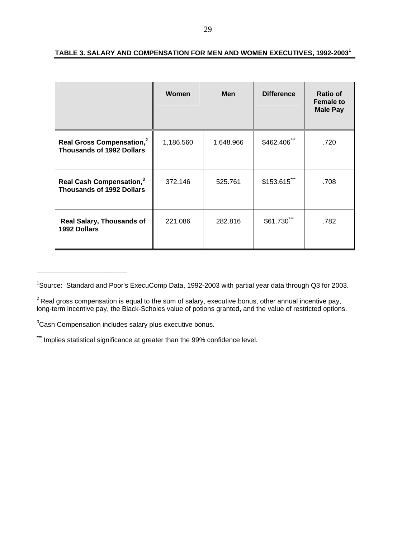|                                                                           | Women     | <b>Men</b> | <b>Difference</b> | Ratio of<br><b>Female to</b><br><b>Male Pay</b> |
|---------------------------------------------------------------------------|-----------|------------|-------------------|-------------------------------------------------|
| Real Gross Compensation, <sup>2</sup><br><b>Thousands of 1992 Dollars</b> | 1,186.560 | 1,648.966  | \$462.406         | .720                                            |
| Real Cash Compensation, <sup>3</sup><br><b>Thousands of 1992 Dollars</b>  | 372.146   | 525.761    | \$153.615***      | .708                                            |
| <b>Real Salary, Thousands of</b><br>1992 Dollars                          | 221.086   | 282.816    | \$61.730***       | .782                                            |

#### **TABLE 3. SALARY AND COMPENSATION FOR MEN AND WOMEN EXECUTIVES, 1992-20031**

**\_\_\_\_\_\_\_\_\_\_\_\_\_\_\_\_\_\_\_\_\_\_\_\_** 

<sup>&</sup>lt;sup>1</sup>Source: Standard and Poor's ExecuComp Data, 1992-2003 with partial year data through Q3 for 2003.

 $2$ Real gross compensation is equal to the sum of salary, executive bonus, other annual incentive pay, long-term incentive pay, the Black-Scholes value of potions granted, and the value of restricted options.

<sup>&</sup>lt;sup>3</sup>Cash Compensation includes salary plus executive bonus.

**<sup>\*\*\*</sup>** Implies statistical significance at greater than the 99% confidence level.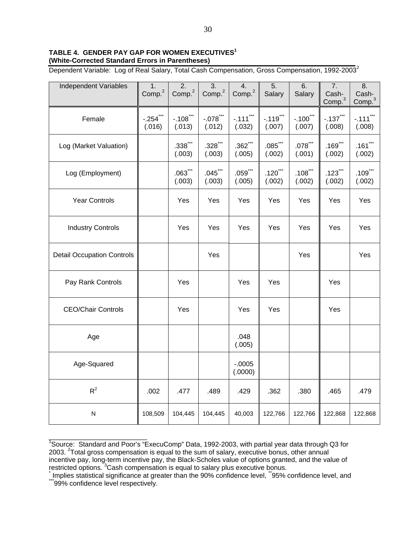#### **TABLE 4. GENDER PAY GAP FOR WOMEN EXECUTIVES1 (White-Corrected Standard Errors in Parentheses)**

Dependent Variable: Log of Real Salary, Total Cash Compensation, Gross Compensation, 1992-2003<sup>2</sup>

| Independent Variables             | 1.<br>Comp. <sup>2</sup>       | $\overline{2}$ .<br>Comp. <sup>2</sup> | $\overline{3}$ .<br>Comp. <sup>2</sup> | 4.<br>Comp. <sup>2</sup> | $\overline{5}$ .<br>Salary | 6.<br>Salary                     | 7.<br>Cash-<br>Comp. <sup>3</sup> | $\overline{8}$ .<br>Cash-<br>Comp. <sup>3</sup> |
|-----------------------------------|--------------------------------|----------------------------------------|----------------------------------------|--------------------------|----------------------------|----------------------------------|-----------------------------------|-------------------------------------------------|
| Female                            | $-.254$ $\dddot{\,}$<br>(.016) | $-.108$ ***<br>(.013)                  | $-.078$ ***<br>(.012)                  | $-.111$ ***<br>(.032)    | $-.119$ ***<br>(.007)      | $-.100$ <sup>***</sup><br>(.007) | $-0.137***$<br>(.008)             | $-.111$ ***<br>(.008)                           |
| Log (Market Valuation)            |                                | $.338$ ***<br>(.003)                   | $.328$ **<br>(.003)                    | $.362$ ***<br>(.005)     | $.085$ ***<br>(.002)       | $.078$ ***<br>(.001)             | $.169$ ***<br>(.002)              | $.161$ $\dddot{\phantom{1}}$<br>(.002)          |
| Log (Employment)                  |                                | $.063$ ***<br>(.003)                   | $.045$ ***<br>(.003)                   | $.059***$<br>(.005)      | $.120$ ***<br>(.002)       | $.108$ **<br>(.002)              | $.123$ ***<br>(.002)              | $.109$ $\dddot{}$<br>(.002)                     |
| <b>Year Controls</b>              |                                | Yes                                    | Yes                                    | Yes                      | Yes                        | Yes                              | Yes                               | Yes                                             |
| <b>Industry Controls</b>          |                                | Yes                                    | Yes                                    | Yes                      | Yes                        | Yes                              | Yes                               | Yes                                             |
| <b>Detail Occupation Controls</b> |                                |                                        | Yes                                    |                          |                            | Yes                              |                                   | Yes                                             |
| Pay Rank Controls                 |                                | Yes                                    |                                        | Yes                      | Yes                        |                                  | <b>Yes</b>                        |                                                 |
| <b>CEO/Chair Controls</b>         |                                | Yes                                    |                                        | Yes                      | Yes                        |                                  | Yes                               |                                                 |
| Age                               |                                |                                        |                                        | .048<br>(.005)           |                            |                                  |                                   |                                                 |
| Age-Squared                       |                                |                                        |                                        | $-.0005$<br>(.0000)      |                            |                                  |                                   |                                                 |
| $R^2$                             | .002                           | .477                                   | .489                                   | .429                     | .362                       | .380                             | .465                              | .479                                            |
| N                                 | 108,509                        | 104,445                                | 104,445                                | 40,003                   | 122,766                    | 122,766                          | 122,868                           | 122,868                                         |

<sup>&</sup>lt;sup>1</sup>Source: Standard and Poor's "ExecuComp" Data, 1992-2003, with partial year data through Q3 for 2003. <sup>2</sup> Total gross compensation is equal to the sum of salary, executive bonus, other annual incentive pay, long-term incentive pay, the Black-Scholes value of options granted, and the value of restricted options. <sup>3</sup> Cash compensation is equal to salary plus executive bonus.<br>Almaliae etatiotical eigetficance at greater than the 00% confidence lavel.  $\frac{1}{10}$  CEW.

\_\_\_\_\_\_\_\_\_\_\_\_\_\_\_\_\_\_\_\_\_\_\_\_\_\_

Implies statistical significance at greater than the 90% confidence level, <sup>\*\*</sup>95% confidence level, and \*\*\*\*\*\*\*<br><sup>\*\*\*</sup>99% confidence level respectively.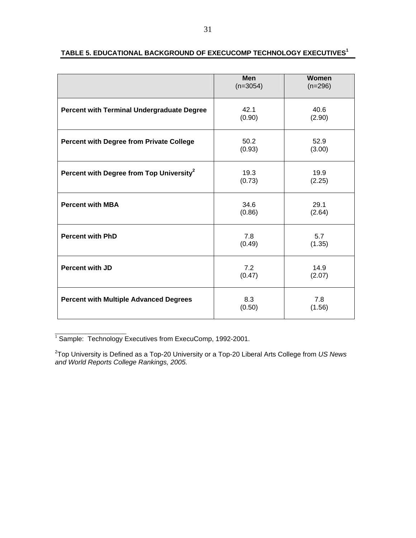|                                                      | Men<br>$(n=3054)$ | Women<br>$(n=296)$ |
|------------------------------------------------------|-------------------|--------------------|
| <b>Percent with Terminal Undergraduate Degree</b>    | 42.1<br>(0.90)    | 40.6<br>(2.90)     |
| <b>Percent with Degree from Private College</b>      | 50.2<br>(0.93)    | 52.9<br>(3.00)     |
| Percent with Degree from Top University <sup>2</sup> | 19.3<br>(0.73)    | 19.9<br>(2.25)     |
| <b>Percent with MBA</b>                              | 34.6<br>(0.86)    | 29.1<br>(2.64)     |
| <b>Percent with PhD</b>                              | 7.8<br>(0.49)     | 5.7<br>(1.35)      |
| <b>Percent with JD</b>                               | 7.2<br>(0.47)     | 14.9<br>(2.07)     |
| <b>Percent with Multiple Advanced Degrees</b>        | 8.3<br>(0.50)     | 7.8<br>(1.56)      |

#### **TABLE 5. EDUCATIONAL BACKGROUND OF EXECUCOMP TECHNOLOGY EXECUTIVES<sup>1</sup>**

\_\_\_\_\_\_\_\_\_\_\_\_\_\_\_\_\_\_\_\_\_  $1$  Sample: Technology Executives from ExecuComp, 1992-2001.

2 Top University is Defined as a Top-20 University or a Top-20 Liberal Arts College from *US News and World Reports College Rankings, 2005.*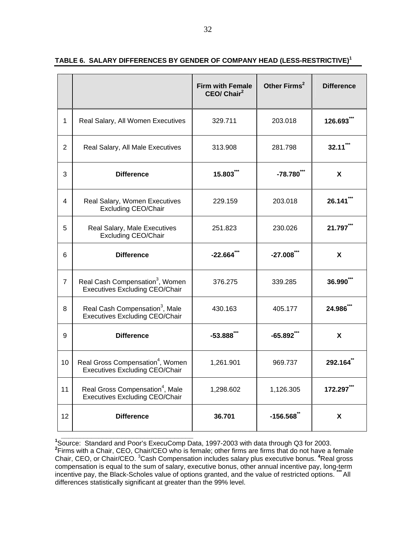|                |                                                                                       | <b>Firm with Female</b><br>CEO/ Chair <sup>2</sup> | Other Firms <sup>2</sup> | <b>Difference</b> |
|----------------|---------------------------------------------------------------------------------------|----------------------------------------------------|--------------------------|-------------------|
| 1              | Real Salary, All Women Executives                                                     | 329.711                                            | 203.018                  | 126.693           |
| $\overline{2}$ | Real Salary, All Male Executives                                                      | 313.908                                            | 281.798                  | $32.11$ **        |
| 3              | <b>Difference</b>                                                                     | 15.803***                                          | $-78.780$                | X                 |
| 4              | Real Salary, Women Executives<br><b>Excluding CEO/Chair</b>                           | 229.159                                            | 203.018                  | 26.141            |
| 5              | Real Salary, Male Executives<br><b>Excluding CEO/Chair</b>                            | 251.823                                            | 230.026                  | 21.797            |
| 6              | <b>Difference</b>                                                                     | $-22.664$                                          | $-27.008$                | X                 |
| $\overline{7}$ | Real Cash Compensation <sup>3</sup> , Women<br><b>Executives Excluding CEO/Chair</b>  | 376.275                                            | 339.285                  | 36.990            |
| 8              | Real Cash Compensation <sup>3</sup> , Male<br>Executives Excluding CEO/Chair          | 430.163                                            | 405.177                  | 24.986***         |
| 9              | <b>Difference</b>                                                                     | $-53.888$                                          | $-65.892$ **             | X                 |
| 10             | Real Gross Compensation <sup>4</sup> , Women<br><b>Executives Excluding CEO/Chair</b> | 1,261.901                                          | 969.737                  | 292.164           |
| 11             | Real Gross Compensation <sup>4</sup> , Male<br><b>Executives Excluding CEO/Chair</b>  | 1,298.602                                          | 1,126.305                | 172.297***        |
| 12             | <b>Difference</b>                                                                     | 36.701                                             | $-156.568$               | X                 |

#### **TABLE 6. SALARY DIFFERENCES BY GENDER OF COMPANY HEAD (LESS-RESTRICTIVE)<sup>1</sup>**

<sup>1</sup><br><sup>1</sup>Source: Standard and Poor's ExecuComp Data, 1997-2003 with data through Q3 for 2003. **2** Firms with a Chair, CEO, Chair/CEO who is female; other firms are firms that do not have a female Chair, CEO, or Chair/CEO. <sup>3</sup>Cash Compensation includes salary plus executive bonus. <sup>4</sup>Real gross compensation is equal to the sum of salary, executive bonus, other annual incentive pay, long-term incentive pay, the Black-Scholes value of options granted, and the value of restricted options. **\*\*\*** All differences statistically significant at greater than the 99% level.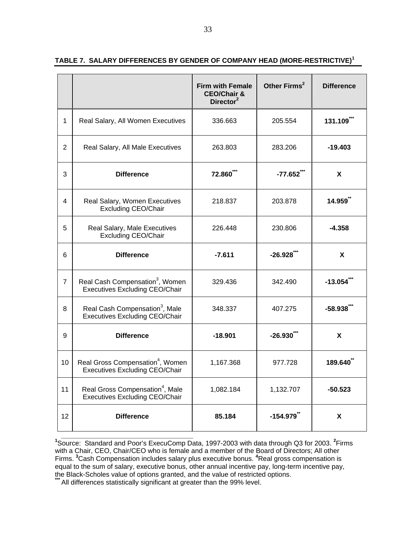|                |                                                                                       | <b>Firm with Female</b><br><b>CEO/Chair &amp;</b><br>Director <sup>2</sup> | Other Firms <sup>2</sup> | <b>Difference</b>  |
|----------------|---------------------------------------------------------------------------------------|----------------------------------------------------------------------------|--------------------------|--------------------|
| 1              | Real Salary, All Women Executives                                                     | 336.663                                                                    | 205.554                  | 131.109**          |
| 2              | Real Salary, All Male Executives                                                      | 263.803                                                                    | 283.206                  | $-19.403$          |
| 3              | <b>Difference</b>                                                                     | <b>72.860</b>                                                              | $-77.652$ **             | X                  |
| 4              | Real Salary, Women Executives<br><b>Excluding CEO/Chair</b>                           | 218.837                                                                    | 203.878                  | 14.959             |
| 5              | Real Salary, Male Executives<br><b>Excluding CEO/Chair</b>                            | 226.448                                                                    | 230.806                  | $-4.358$           |
| 6              | <b>Difference</b>                                                                     | $-7.611$                                                                   | $-26.928$                | X                  |
| $\overline{7}$ | Real Cash Compensation <sup>3</sup> , Women<br><b>Executives Excluding CEO/Chair</b>  | 329.436                                                                    | 342.490                  | $-13.054$          |
| 8              | Real Cash Compensation <sup>3</sup> , Male<br><b>Executives Excluding CEO/Chair</b>   | 348.337                                                                    | 407.275                  | $-58.938$          |
| 9              | <b>Difference</b>                                                                     | $-18.901$                                                                  | $-26.930$                | X                  |
| 10             | Real Gross Compensation <sup>4</sup> , Women<br><b>Executives Excluding CEO/Chair</b> | 1,167.368                                                                  | 977.728                  | 189.640            |
| 11             | Real Gross Compensation <sup>4</sup> , Male<br><b>Executives Excluding CEO/Chair</b>  | 1,082.184                                                                  | 1,132.707                | $-50.523$          |
| 12             | <b>Difference</b>                                                                     | 85.184                                                                     | $-154.979$ <sup>**</sup> | $\pmb{\mathsf{X}}$ |

**TABLE 7. SALARY DIFFERENCES BY GENDER OF COMPANY HEAD (MORE-RESTRICTIVE)<sup>1</sup>**

<sup>1</sup>Source: Standard and Poor's ExecuComp Data, 1997-2003 with data through Q3 for 2003. <sup>2</sup>Firms with a Chair, CEO, Chair/CEO who is female and a member of the Board of Directors; All other Firms. **<sup>3</sup>** Cash Compensation includes salary plus executive bonus. **<sup>4</sup>** Real gross compensation is equal to the sum of salary, executive bonus, other annual incentive pay, long-term incentive pay, the Black-Scholes value of options granted, and the value of restricted options.

All differences statistically significant at greater than the 99% level.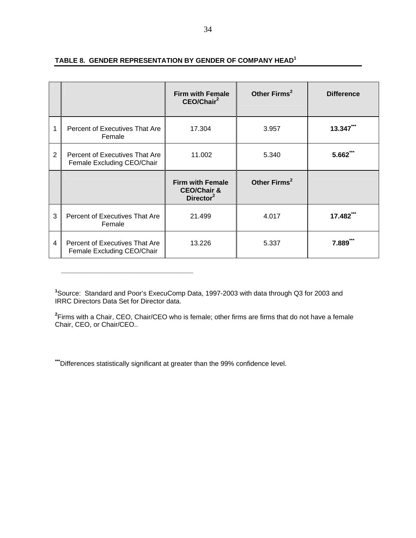|                |                                                              | <b>Firm with Female</b><br>CEO/Chair <sup>2</sup>                 | Other Firms <sup>2</sup> | <b>Difference</b> |
|----------------|--------------------------------------------------------------|-------------------------------------------------------------------|--------------------------|-------------------|
|                | Percent of Executives That Are<br>Female                     | 17.304                                                            | 3.957                    | 13.347***         |
| $\overline{2}$ | Percent of Executives That Are<br>Female Excluding CEO/Chair | 11.002                                                            | 5.340                    | $5.662***$        |
|                |                                                              | <b>Firm with Female</b><br><b>CEO/Chair &amp;</b><br>Director $2$ | Other Firms <sup>2</sup> |                   |
|                |                                                              |                                                                   |                          |                   |
| 3              | Percent of Executives That Are<br>Female                     | 21.499                                                            | 4.017                    | 17.482***         |

### **TABLE 8. GENDER REPRESENTATION BY GENDER OF COMPANY HEAD<sup>1</sup>**

**1** Source: Standard and Poor's ExecuComp Data, 1997-2003 with data through Q3 for 2003 and IRRC Directors Data Set for Director data.

**2** Firms with a Chair, CEO, Chair/CEO who is female; other firms are firms that do not have a female Chair, CEO, or Chair/CEO..

**\*\*\***Differences statistically significant at greater than the 99% confidence level.

**\_\_\_\_\_\_\_\_\_\_\_\_\_\_\_\_\_\_\_\_\_\_\_\_\_\_\_\_\_\_\_\_\_\_\_**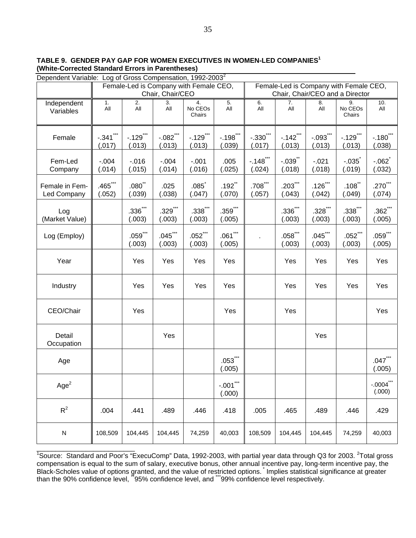**TABLE 9. GENDER PAY GAP FOR WOMEN EXECUTIVES IN WOMEN-LED COMPANIES1 (White-Corrected Standard Errors in Parentheses)** 

| Dependent Variable: Log of Gross Compensation, 1992-2003 <sup>2</sup> |                                        |                         |                       |                                     |                                                                           |                       |                                    |                       |                                     |                        |
|-----------------------------------------------------------------------|----------------------------------------|-------------------------|-----------------------|-------------------------------------|---------------------------------------------------------------------------|-----------------------|------------------------------------|-----------------------|-------------------------------------|------------------------|
|                                                                       | Female-Led is Company with Female CEO, |                         |                       |                                     | Female-Led is Company with Female CEO,<br>Chair, Chair/CEO and a Director |                       |                                    |                       |                                     |                        |
|                                                                       | Chair, Chair/CEO                       |                         |                       |                                     |                                                                           |                       |                                    |                       |                                     |                        |
| Independent<br>Variables                                              | 1.<br>All                              | $\overline{2}$ .<br>All | 3.<br>All             | 4.<br>No CEO <sub>s</sub><br>Chairs | 5.<br>All                                                                 | 6.<br>All             | 7.<br>All                          | 8.<br>All             | 9.<br>No CEO <sub>s</sub><br>Chairs | 10.<br>All             |
| Female                                                                | $-.341$ ***<br>(0.017)                 | $-.129$ ***<br>(.013)   | $-.082$ ***<br>(.013) | $-.129$ ***<br>(.013)               | $-.198$ ***<br>(.039)                                                     | $-.330$ ***<br>(.017) | $-142$ $\cdot\cdot\cdot$<br>(.013) | $-.093$ ***<br>(.013) | $-.129$ ***<br>(.013)               | $-.180$ ***<br>(.038)  |
| Fem-Led<br>Company                                                    | $-0.004$<br>(.014)                     | $-0.016$<br>(.015)      | $-.004$<br>(.014)     | $-0.001$<br>(.016)                  | .005<br>(.025)                                                            | $-.148$ ***<br>(.024) | $-.039$ **<br>(.018)               | $-0.021$<br>(.018)    | $-.035$<br>(.019)                   | $-062$<br>(.032)       |
| Female in Fem-<br>Led Company                                         | $.465$ ***<br>(.052)                   | $.080^{**}$<br>(.039)   | .025<br>(.038)        | .085<br>(.047)                      | $.192$ <sup>**</sup><br>(.070)                                            | $.708***$<br>(.057)   | $.203$ $11$<br>(.043)              | $.126$ ***<br>(.042)  | $.108$ **<br>(.049)                 | $.270$ ***<br>(.074)   |
| Log<br>(Market Value)                                                 |                                        | $.336***$<br>(.003)     | $.329***$<br>(.003)   | $.338***$<br>(.003)                 | $.359***$<br>(.005)                                                       |                       | $.336***$<br>(.003)                | $.328***$<br>(.003)   | $.338***$<br>(.003)                 | $.362$ ***<br>(.005)   |
| Log (Employ)                                                          |                                        | $.059***$<br>(.003)     | $.045$ ***<br>(.003)  | $.052$ ***<br>(.003)                | $.061***$<br>(.005)                                                       |                       | $.058$ ***<br>(.003)               | $.045$ ***<br>(.003)  | $.052$ ***<br>(.003)                | $.059$ ***<br>(.005)   |
| Year                                                                  |                                        | Yes                     | Yes                   | Yes                                 | Yes                                                                       |                       | Yes                                | Yes                   | Yes                                 | Yes                    |
| Industry                                                              |                                        | Yes                     | Yes                   | Yes                                 | Yes                                                                       |                       | Yes                                | Yes                   | Yes                                 | Yes                    |
| CEO/Chair                                                             |                                        | Yes                     |                       |                                     | Yes                                                                       |                       | Yes                                |                       |                                     | Yes                    |
| Detail<br>Occupation                                                  |                                        |                         | Yes                   |                                     |                                                                           |                       |                                    | Yes                   |                                     |                        |
| Age                                                                   |                                        |                         |                       |                                     | $.053***$<br>(.005)                                                       |                       |                                    |                       |                                     | $.047***$<br>(.005)    |
| Age <sup>2</sup>                                                      |                                        |                         |                       |                                     | $-.001$ ***<br>(.000)                                                     |                       |                                    |                       |                                     | $-.0004$ ***<br>(.000) |
| $R^2$                                                                 | .004                                   | .441                    | .489                  | .446                                | .418                                                                      | .005                  | .465                               | .489                  | .446                                | .429                   |
| ${\sf N}$                                                             | 108,509                                | 104,445                 | 104,445               | 74,259                              | 40,003                                                                    | 108,509               | 104,445                            | 104,445               | 74,259                              | 40,003                 |

 $\frac{1}{10}$ Source: Standard and Poor's "ExecuComp" Data, 1992-2003, with partial year data through Q3 for 2003. <sup>2</sup>Total gross compensation is equal to the sum of salary, executive bonus, other annual incentive pay, long-term incentive pay, the Black-Scholes value of options granted, and the value of restricted options. \* Implies statistical significance at greater than the 90% confidence level, 195% confidence level, and \*\*\*99% confidence level respectively.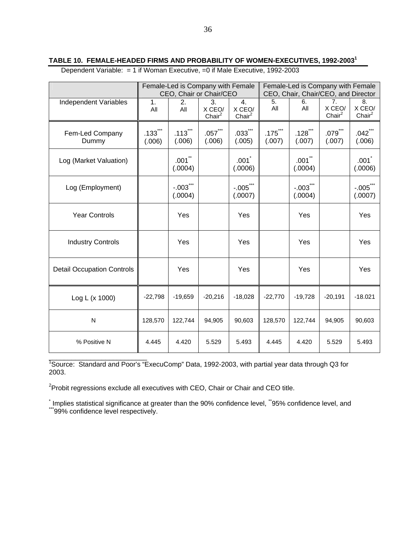Dependent Variable: = 1 if Woman Executive, =0 if Male Executive, 1992-2003

|                                   |                      | Female-Led is Company with Female<br>CEO, Chair or Chair/CEO |                                    |                            |                      | Female-Led is Company with Female<br>CEO, Chair, Chair/CEO, and Director |                                    |                                |  |
|-----------------------------------|----------------------|--------------------------------------------------------------|------------------------------------|----------------------------|----------------------|--------------------------------------------------------------------------|------------------------------------|--------------------------------|--|
| Independent Variables             | 1.<br>All            | 2.<br>All                                                    | 3.<br>X CEO/<br>Chair <sup>2</sup> | 4.<br>X CEO/<br>Chair $^2$ | 5.<br>All            | 6.<br>All                                                                | 7.<br>X CEO/<br>Chair <sup>2</sup> | 8.<br>X CEO/<br>Chair $^2$     |  |
| Fem-Led Company<br>Dummy          | $.133$ $*$<br>(.006) | $.113$ ***<br>(.006)                                         | $.057$ $**$<br>(0.006)             | $.033***$<br>(.005)        | $.175$ $*$<br>(.007) | $.128$ ***<br>(.007)                                                     | $.079$ $**$<br>(.007)              | $.042$ $11$<br>(.006)          |  |
| Log (Market Valuation)            |                      | $.001$ **<br>(.0004)                                         |                                    | .001<br>(.0006)            |                      | $.001$ **<br>(.0004)                                                     |                                    | $.001$ <sup>*</sup><br>(.0006) |  |
| Log (Employment)                  |                      | $-.003$ ***<br>(.0004)                                       |                                    | $-.005$ ***<br>(.0007)     |                      | $-.003$ ***<br>(.0004)                                                   |                                    | $-.005$ ***<br>(.0007)         |  |
| <b>Year Controls</b>              |                      | Yes                                                          |                                    | Yes                        |                      | Yes                                                                      |                                    | Yes                            |  |
| <b>Industry Controls</b>          |                      | Yes                                                          |                                    | Yes                        |                      | Yes                                                                      |                                    | Yes                            |  |
| <b>Detail Occupation Controls</b> |                      | Yes                                                          |                                    | Yes                        |                      | Yes                                                                      |                                    | Yes                            |  |
| Log L (x 1000)                    | $-22,798$            | $-19,659$                                                    | $-20,216$                          | $-18,028$                  | $-22,770$            | $-19,728$                                                                | $-20,191$                          | $-18.021$                      |  |
| N                                 | 128,570              | 122,744                                                      | 94,905                             | 90,603                     | 128,570              | 122,744                                                                  | 94,905                             | 90,603                         |  |
| % Positive N                      | 4.445                | 4.420                                                        | 5.529                              | 5.493                      | 4.445                | 4.420                                                                    | 5.529                              | 5.493                          |  |

<sup>1</sup><br>Source: Standard and Poor's "ExecuComp" Data, 1992-2003, with partial year data through Q3 for 2003.

 $2$ Probit regressions exclude all executives with CEO, Chair or Chair and CEO title.

<sup>\*</sup> Implies statistical significance at greater than the 90% confidence level, <sup>\*\*</sup>95% confidence level, and<br><sup>\*\*\*</sup>99% confidence level respectively.

**TABLE 10. FEMALE-HEADED FIRMS AND PROBABILITY OF WOMEN-EXECUTIVES, 1992-2003<sup>1</sup>**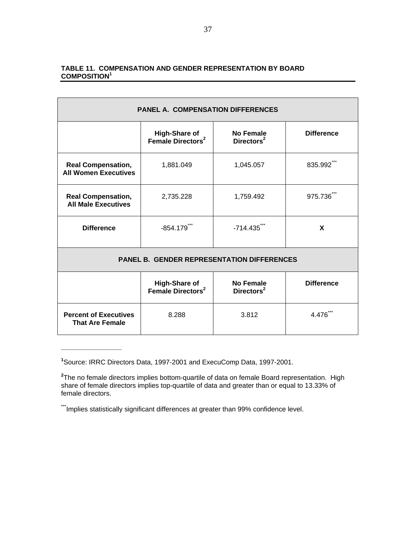#### **TABLE 11. COMPENSATION AND GENDER REPRESENTATION BY BOARD COMPOSITION<sup>1</sup>**

| <b>PANEL A. COMPENSATION DIFFERENCES</b>                 |                                            |                         |         |  |  |  |  |  |  |
|----------------------------------------------------------|--------------------------------------------|-------------------------|---------|--|--|--|--|--|--|
|                                                          | <b>Difference</b>                          |                         |         |  |  |  |  |  |  |
| <b>Real Compensation,</b><br><b>All Women Executives</b> | 1,881.049                                  | 1,045.057               | 835.992 |  |  |  |  |  |  |
| <b>Real Compensation,</b><br><b>All Male Executives</b>  | 2,735.228                                  | 1,759.492               | 975.736 |  |  |  |  |  |  |
| <b>Difference</b>                                        | $-854.179$ <sup>*</sup>                    | $-714.435$ <sup>*</sup> | X       |  |  |  |  |  |  |
| <b>PANEL B. GENDER REPRESENTATION DIFFERENCES</b>        |                                            |                         |         |  |  |  |  |  |  |
|                                                          | <b>No Female</b><br>Directors <sup>2</sup> | <b>Difference</b>       |         |  |  |  |  |  |  |
| <b>Percent of Executives</b><br><b>That Are Female</b>   | 8.288                                      |                         | 4.476   |  |  |  |  |  |  |

**<sup>1</sup>** Source: IRRC Directors Data, 1997-2001 and ExecuComp Data, 1997-2001.

**\_\_\_\_\_\_\_\_\_\_\_\_\_\_\_\_** 

**<sup>2</sup>** The no female directors implies bottom-quartile of data on female Board representation. High share of female directors implies top-quartile of data and greater than or equal to 13.33% of female directors.

<sup>\*\*\*</sup>Implies statistically significant differences at greater than 99% confidence level.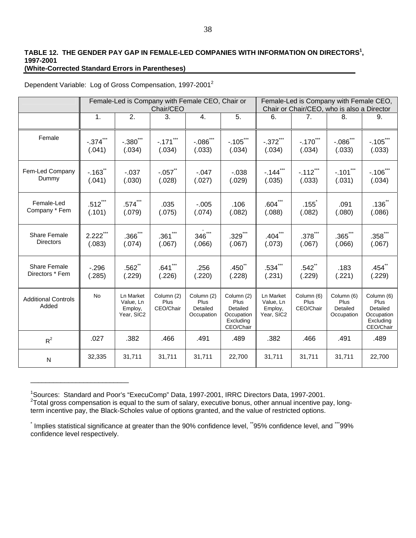#### **TABLE 12. THE GENDER PAY GAP IN FEMALE-LED COMPANIES WITH INFORMATION ON DIRECTORS<sup>1</sup> , 1997-2001 (White-Corrected Standard Errors in Parentheses)**

\_\_\_\_\_\_\_\_\_\_\_\_\_\_\_\_\_\_\_\_\_\_\_\_\_\_

|  | Dependent Variable: Log of Gross Compensation, 1997-2001 <sup>2</sup> |  |
|--|-----------------------------------------------------------------------|--|
|--|-----------------------------------------------------------------------|--|

|                                     | Female-Led is Company with Female CEO, Chair or<br>Chair/CEO |                                                        |                                 |                                              |                                                                        | Female-Led is Company with Female CEO,<br>Chair or Chair/CEO, who is also a Director |                                 |                                              |                                                                        |
|-------------------------------------|--------------------------------------------------------------|--------------------------------------------------------|---------------------------------|----------------------------------------------|------------------------------------------------------------------------|--------------------------------------------------------------------------------------|---------------------------------|----------------------------------------------|------------------------------------------------------------------------|
|                                     | 1.                                                           | 2.                                                     | 3.                              | 4.                                           | 5.                                                                     | 6.                                                                                   | 7.                              | 8.                                           | 9.                                                                     |
| Female                              | $-374$                                                       | $-.380^{11}$                                           | $-171$                          | $-0.086$ $\frac{1}{10}$                      | $-105$                                                                 | $-.372$ ***                                                                          | $-170$                          | $-.086$ **                                   | $-105$                                                                 |
|                                     | (.041)                                                       | (.034)                                                 | (.034)                          | (.033)                                       | (.034)                                                                 | (.034)                                                                               | (.034)                          | (.033)                                       | (.033)                                                                 |
| Fem-Led Company                     | $-163$ <sup>"</sup>                                          | $-0.037$                                               | $-.057$                         | $-0.047$                                     | $-0.038$                                                               | $-144$ <sup>*</sup>                                                                  | $-.112$ ***                     | $-.101$ <sup>"</sup>                         | $-106$                                                                 |
| Dummy                               | (.041)                                                       | (.030)                                                 | (.028)                          | (.027)                                       | (.029)                                                                 | (.035)                                                                               | (.033)                          | (.031)                                       | (.034)                                                                 |
| Female-Led                          | $.512$ ***                                                   | $.574$ ***                                             | .035                            | $-0.005$                                     | .106                                                                   | .604 <sup>•</sup>                                                                    | .155                            | .091                                         | .136 <sup>°</sup>                                                      |
| Company * Fem                       | (.101)                                                       | (.079)                                                 | (.075)                          | (.074)                                       | (.082)                                                                 | (.088)                                                                               | (.082)                          | (.080)                                       | (.086)                                                                 |
| <b>Share Female</b>                 | $2.222$ ***                                                  | $.366$ ***                                             | $.361$ ***                      | $346$ ***                                    | $.329***$                                                              | $.404$ $**$                                                                          | $.378$ ***                      | $.365$ $\degree$                             | $.358$ **                                                              |
| <b>Directors</b>                    | (.083)                                                       | (.074)                                                 | (.067)                          | (.066)                                       | (.067)                                                                 | (.073)                                                                               | (.067)                          | (.066)                                       | (.067)                                                                 |
| <b>Share Female</b>                 | $-296$                                                       | $.562$ **                                              | $.641$ ***                      | .256                                         | $.450^{11}$                                                            | $.534***$                                                                            | .542                            | .183                                         | $.454$ <sup>**</sup>                                                   |
| Directors * Fem                     | (.285)                                                       | (.229)                                                 | (.226)                          | (.220)                                       | (.228)                                                                 | (.231)                                                                               | (.229)                          | (.221)                                       | (.229)                                                                 |
| <b>Additional Controls</b><br>Added | <b>No</b>                                                    | <b>Ln Market</b><br>Value, Ln<br>Employ,<br>Year, SIC2 | Column (2)<br>Plus<br>CEO/Chair | Column (2)<br>Plus<br>Detailed<br>Occupation | Column (2)<br>Plus<br>Detailed<br>Occupation<br>Excluding<br>CEO/Chair | <b>Ln Market</b><br>Value, Ln<br>Employ,<br>Year, SIC2                               | Column (6)<br>Plus<br>CEO/Chair | Column (6)<br>Plus<br>Detailed<br>Occupation | Column (6)<br>Plus<br>Detailed<br>Occupation<br>Excluding<br>CEO/Chair |
| $R^2$                               | .027                                                         | .382                                                   | .466                            | .491                                         | .489                                                                   | .382                                                                                 | .466                            | .491                                         | .489                                                                   |
| ${\sf N}$                           | 32,335                                                       | 31,711                                                 | 31,711                          | 31,711                                       | 22,700                                                                 | 31,711                                                                               | 31,711                          | 31,711                                       | 22,700                                                                 |

<sup>&</sup>lt;sup>1</sup>Sources: Standard and Poor's "ExecuComp" Data, 1997-2001, IRRC Directors Data, 1997-2001.  $2$ Total gross compensation is equal to the sum of salary, executive bonus, other annual incentive pay, longterm incentive pay, the Black-Scholes value of options granted, and the value of restricted options.

 $\dot{ }$  Implies statistical significance at greater than the 90% confidence level,  $\ddot{ }$ 95% confidence level, and  $\dddot{ }$ 99% confidence level respectively.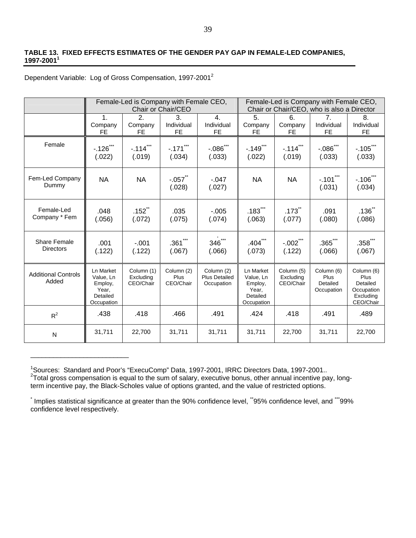#### **TABLE 13. FIXED EFFECTS ESTIMATES OF THE GENDER PAY GAP IN FEMALE-LED COMPANIES, 1997-2001<sup>1</sup>**

Dependent Variable: Log of Gross Compensation, 1997-2001<sup>2</sup>

\_\_\_\_\_\_\_\_\_\_\_\_\_\_\_\_\_\_\_\_\_\_\_\_\_\_

|                                     |                                                                      | Female-Led is Company with Female CEO, | Female-Led is Company with Female CEO,<br>Chair or Chair/CEO, who is also a Director |                                                  |                                                                      |                                      |                                              |                                                                        |
|-------------------------------------|----------------------------------------------------------------------|----------------------------------------|--------------------------------------------------------------------------------------|--------------------------------------------------|----------------------------------------------------------------------|--------------------------------------|----------------------------------------------|------------------------------------------------------------------------|
|                                     | $\mathbf{1}$ .<br>Company<br><b>FE</b>                               | 2.<br>Company<br><b>FE</b>             | 3.<br>Individual<br>FE                                                               | $\mathbf{4}$ .<br>Individual<br>FE.              | 5.<br>Company<br>FE.                                                 | 6.<br>Company<br><b>FE</b>           | 7 <sub>1</sub><br>Individual<br>FE           | 8.<br>Individual<br>FE.                                                |
| Female                              | $-.126$ ***<br>(.022)                                                | $-.114$ ***<br>(.019)                  | $-.171$ ***<br>(.034)                                                                | $-.086$ ***<br>(.033)                            | $-.149$ ***<br>(.022)                                                | $-.114$ ***<br>(.019)                | $-.086$ ***<br>(.033)                        | $-.105$ ***<br>(.033)                                                  |
| Fem-Led Company<br>Dummy            | <b>NA</b>                                                            | <b>NA</b>                              | $-.057$ <sup>**</sup><br>(.028)                                                      | $-.047$<br>(.027)                                | <b>NA</b>                                                            | <b>NA</b>                            | $-.101$ ***<br>(.031)                        | $-106^{\circ}$<br>(.034)                                               |
| Female-Led<br>Company * Fem         | .048<br>(.056)                                                       | $.152$ <sup>**</sup><br>(.072)         | .035<br>(.075)                                                                       | $-0.005$<br>(.074)                               | $.183$ <sup>*</sup><br>(.063)                                        | $.173$ <sup>**</sup><br>(.077)       | .091<br>(.080)                               | .136 <sup>th</sup><br>(.086)                                           |
| Share Female<br><b>Directors</b>    | .001<br>(.122)                                                       | $-.001$<br>(.122)                      | $.361$ ***<br>(.067)                                                                 | $346$ ***<br>(.066)                              | $.404$ $11$<br>(.073)                                                | $-.002$ ***<br>(.122)                | $.365$ $**$<br>(.066)                        | $.358$ $*$<br>(.067)                                                   |
| <b>Additional Controls</b><br>Added | Ln Market<br>Value, Ln<br>Employ,<br>Year.<br>Detailed<br>Occupation | Column (1)<br>Excluding<br>CEO/Chair   | Column (2)<br>Plus<br>CEO/Chair                                                      | Column (2)<br><b>Plus Detailed</b><br>Occupation | Ln Market<br>Value, Ln<br>Employ,<br>Year,<br>Detailed<br>Occupation | Column (5)<br>Excluding<br>CEO/Chair | Column (6)<br>Plus<br>Detailed<br>Occupation | Column (6)<br>Plus<br>Detailed<br>Occupation<br>Excluding<br>CEO/Chair |
| $R^2$                               | .438                                                                 | .418                                   | .466                                                                                 | .491                                             | .424                                                                 | .418                                 | .491                                         | .489                                                                   |
| N                                   | 31,711                                                               | 22,700                                 | 31,711                                                                               | 31,711                                           | 31,711                                                               | 22,700                               | 31,711                                       | 22,700                                                                 |

<sup>&</sup>lt;sup>1</sup>Sources: Standard and Poor's "ExecuComp" Data, 1997-2001, IRRC Directors Data, 1997-2001..<br><sup>2</sup>Total gross compensation is equal to the sum of salary, executive bonus, other annual incentive pay, longterm incentive pay, the Black-Scholes value of options granted, and the value of restricted options.

t Implies statistical significance at greater than the 90% confidence level, \*\*95% confidence level, and \*\*\*99% confidence level respectively.